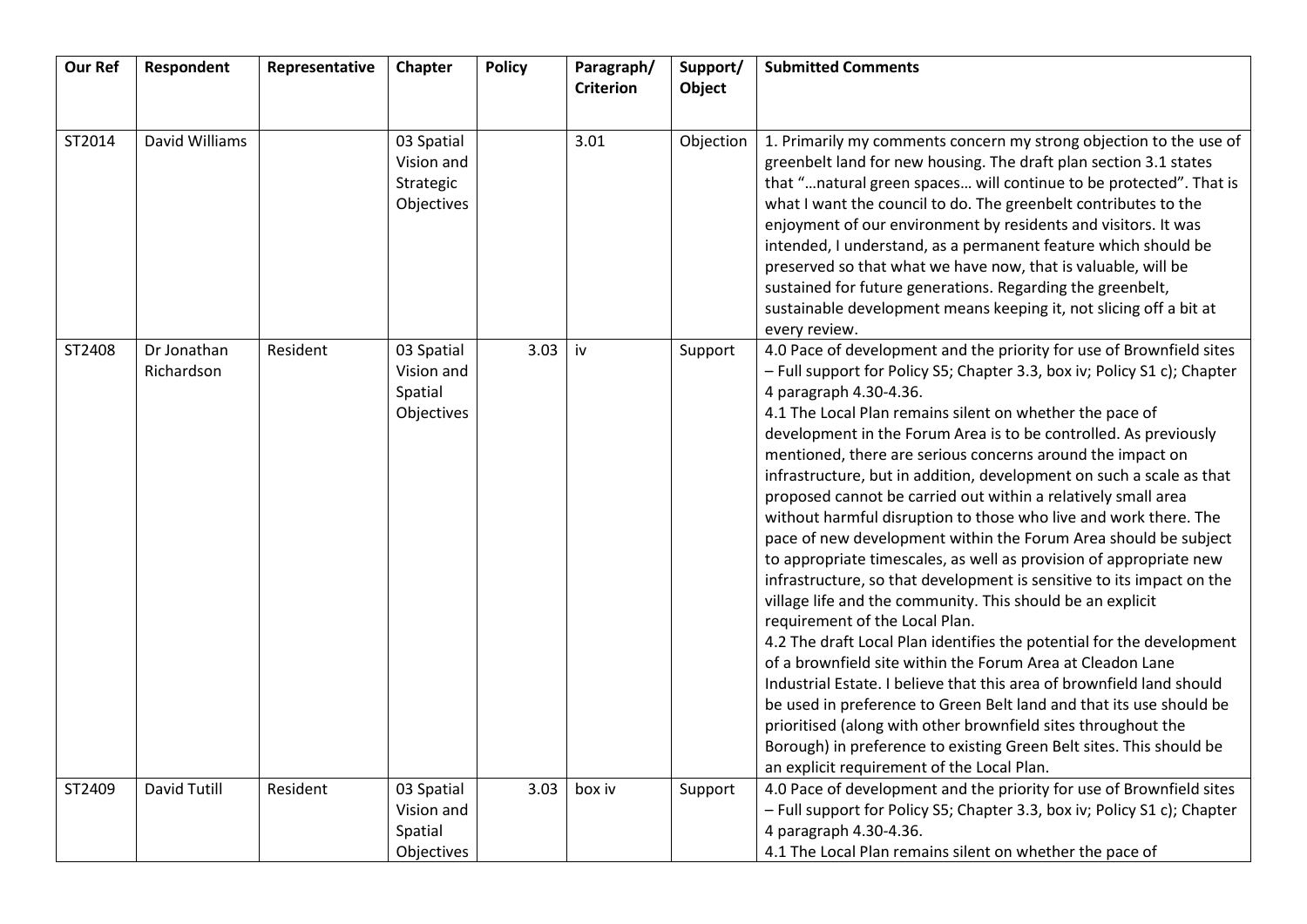| <b>Our Ref</b> | Respondent                | Representative | Chapter                                             | <b>Policy</b> | Paragraph/<br><b>Criterion</b> | Support/<br>Object | <b>Submitted Comments</b>                                                                                                                                                                                                                                                                                                                                                                                                                                                                                                                                                                                                                                                                                                                                                                                                                                                                                                                                                                                                                                                                                                                                                                                                                                                                                                                                                            |
|----------------|---------------------------|----------------|-----------------------------------------------------|---------------|--------------------------------|--------------------|--------------------------------------------------------------------------------------------------------------------------------------------------------------------------------------------------------------------------------------------------------------------------------------------------------------------------------------------------------------------------------------------------------------------------------------------------------------------------------------------------------------------------------------------------------------------------------------------------------------------------------------------------------------------------------------------------------------------------------------------------------------------------------------------------------------------------------------------------------------------------------------------------------------------------------------------------------------------------------------------------------------------------------------------------------------------------------------------------------------------------------------------------------------------------------------------------------------------------------------------------------------------------------------------------------------------------------------------------------------------------------------|
|                |                           |                |                                                     |               |                                |                    |                                                                                                                                                                                                                                                                                                                                                                                                                                                                                                                                                                                                                                                                                                                                                                                                                                                                                                                                                                                                                                                                                                                                                                                                                                                                                                                                                                                      |
| ST2014         | David Williams            |                | 03 Spatial<br>Vision and<br>Strategic<br>Objectives |               | 3.01                           | Objection          | 1. Primarily my comments concern my strong objection to the use of<br>greenbelt land for new housing. The draft plan section 3.1 states<br>that "natural green spaces will continue to be protected". That is<br>what I want the council to do. The greenbelt contributes to the<br>enjoyment of our environment by residents and visitors. It was<br>intended, I understand, as a permanent feature which should be<br>preserved so that what we have now, that is valuable, will be<br>sustained for future generations. Regarding the greenbelt,<br>sustainable development means keeping it, not slicing off a bit at<br>every review.                                                                                                                                                                                                                                                                                                                                                                                                                                                                                                                                                                                                                                                                                                                                           |
| ST2408         | Dr Jonathan<br>Richardson | Resident       | 03 Spatial<br>Vision and<br>Spatial<br>Objectives   | 3.03          | iv                             | Support            | 4.0 Pace of development and the priority for use of Brownfield sites<br>- Full support for Policy S5; Chapter 3.3, box iv; Policy S1 c); Chapter<br>4 paragraph 4.30-4.36.<br>4.1 The Local Plan remains silent on whether the pace of<br>development in the Forum Area is to be controlled. As previously<br>mentioned, there are serious concerns around the impact on<br>infrastructure, but in addition, development on such a scale as that<br>proposed cannot be carried out within a relatively small area<br>without harmful disruption to those who live and work there. The<br>pace of new development within the Forum Area should be subject<br>to appropriate timescales, as well as provision of appropriate new<br>infrastructure, so that development is sensitive to its impact on the<br>village life and the community. This should be an explicit<br>requirement of the Local Plan.<br>4.2 The draft Local Plan identifies the potential for the development<br>of a brownfield site within the Forum Area at Cleadon Lane<br>Industrial Estate. I believe that this area of brownfield land should<br>be used in preference to Green Belt land and that its use should be<br>prioritised (along with other brownfield sites throughout the<br>Borough) in preference to existing Green Belt sites. This should be<br>an explicit requirement of the Local Plan. |
| ST2409         | <b>David Tutill</b>       | Resident       | 03 Spatial<br>Vision and<br>Spatial<br>Objectives   | 3.03          | box iv                         | Support            | 4.0 Pace of development and the priority for use of Brownfield sites<br>- Full support for Policy S5; Chapter 3.3, box iv; Policy S1 c); Chapter<br>4 paragraph 4.30-4.36.<br>4.1 The Local Plan remains silent on whether the pace of                                                                                                                                                                                                                                                                                                                                                                                                                                                                                                                                                                                                                                                                                                                                                                                                                                                                                                                                                                                                                                                                                                                                               |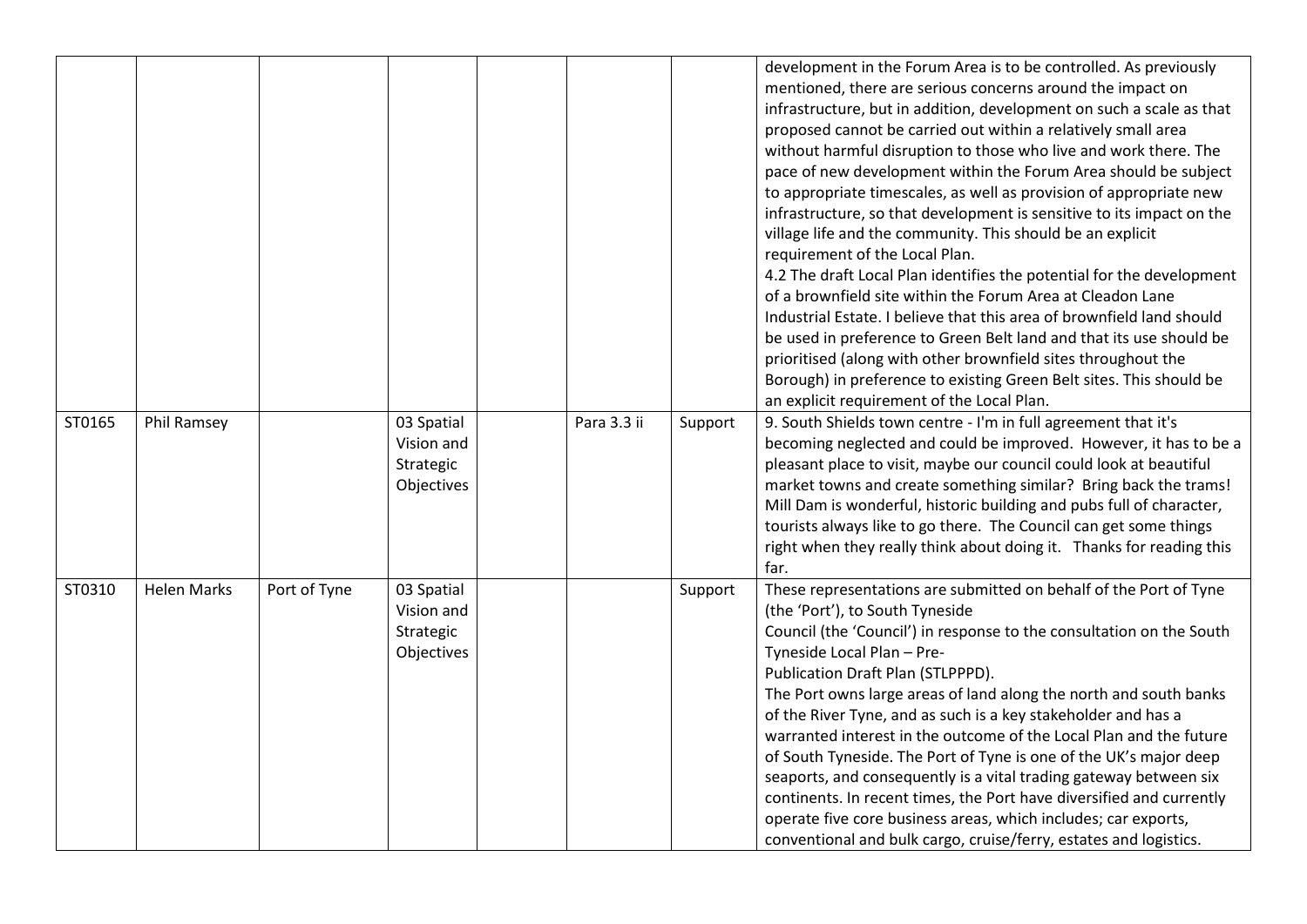|        |                    |              |                                                     |             |         | development in the Forum Area is to be controlled. As previously<br>mentioned, there are serious concerns around the impact on<br>infrastructure, but in addition, development on such a scale as that<br>proposed cannot be carried out within a relatively small area<br>without harmful disruption to those who live and work there. The<br>pace of new development within the Forum Area should be subject<br>to appropriate timescales, as well as provision of appropriate new<br>infrastructure, so that development is sensitive to its impact on the<br>village life and the community. This should be an explicit<br>requirement of the Local Plan.<br>4.2 The draft Local Plan identifies the potential for the development<br>of a brownfield site within the Forum Area at Cleadon Lane<br>Industrial Estate. I believe that this area of brownfield land should<br>be used in preference to Green Belt land and that its use should be<br>prioritised (along with other brownfield sites throughout the<br>Borough) in preference to existing Green Belt sites. This should be<br>an explicit requirement of the Local Plan. |
|--------|--------------------|--------------|-----------------------------------------------------|-------------|---------|--------------------------------------------------------------------------------------------------------------------------------------------------------------------------------------------------------------------------------------------------------------------------------------------------------------------------------------------------------------------------------------------------------------------------------------------------------------------------------------------------------------------------------------------------------------------------------------------------------------------------------------------------------------------------------------------------------------------------------------------------------------------------------------------------------------------------------------------------------------------------------------------------------------------------------------------------------------------------------------------------------------------------------------------------------------------------------------------------------------------------------------------|
| ST0165 | Phil Ramsey        |              | 03 Spatial<br>Vision and<br>Strategic<br>Objectives | Para 3.3 ii | Support | 9. South Shields town centre - I'm in full agreement that it's<br>becoming neglected and could be improved. However, it has to be a<br>pleasant place to visit, maybe our council could look at beautiful<br>market towns and create something similar? Bring back the trams!<br>Mill Dam is wonderful, historic building and pubs full of character,<br>tourists always like to go there. The Council can get some things<br>right when they really think about doing it. Thanks for reading this<br>far.                                                                                                                                                                                                                                                                                                                                                                                                                                                                                                                                                                                                                                 |
| ST0310 | <b>Helen Marks</b> | Port of Tyne | 03 Spatial<br>Vision and<br>Strategic<br>Objectives |             | Support | These representations are submitted on behalf of the Port of Tyne<br>(the 'Port'), to South Tyneside<br>Council (the 'Council') in response to the consultation on the South<br>Tyneside Local Plan - Pre-<br>Publication Draft Plan (STLPPPD).<br>The Port owns large areas of land along the north and south banks<br>of the River Tyne, and as such is a key stakeholder and has a<br>warranted interest in the outcome of the Local Plan and the future<br>of South Tyneside. The Port of Tyne is one of the UK's major deep<br>seaports, and consequently is a vital trading gateway between six<br>continents. In recent times, the Port have diversified and currently<br>operate five core business areas, which includes; car exports,<br>conventional and bulk cargo, cruise/ferry, estates and logistics.                                                                                                                                                                                                                                                                                                                       |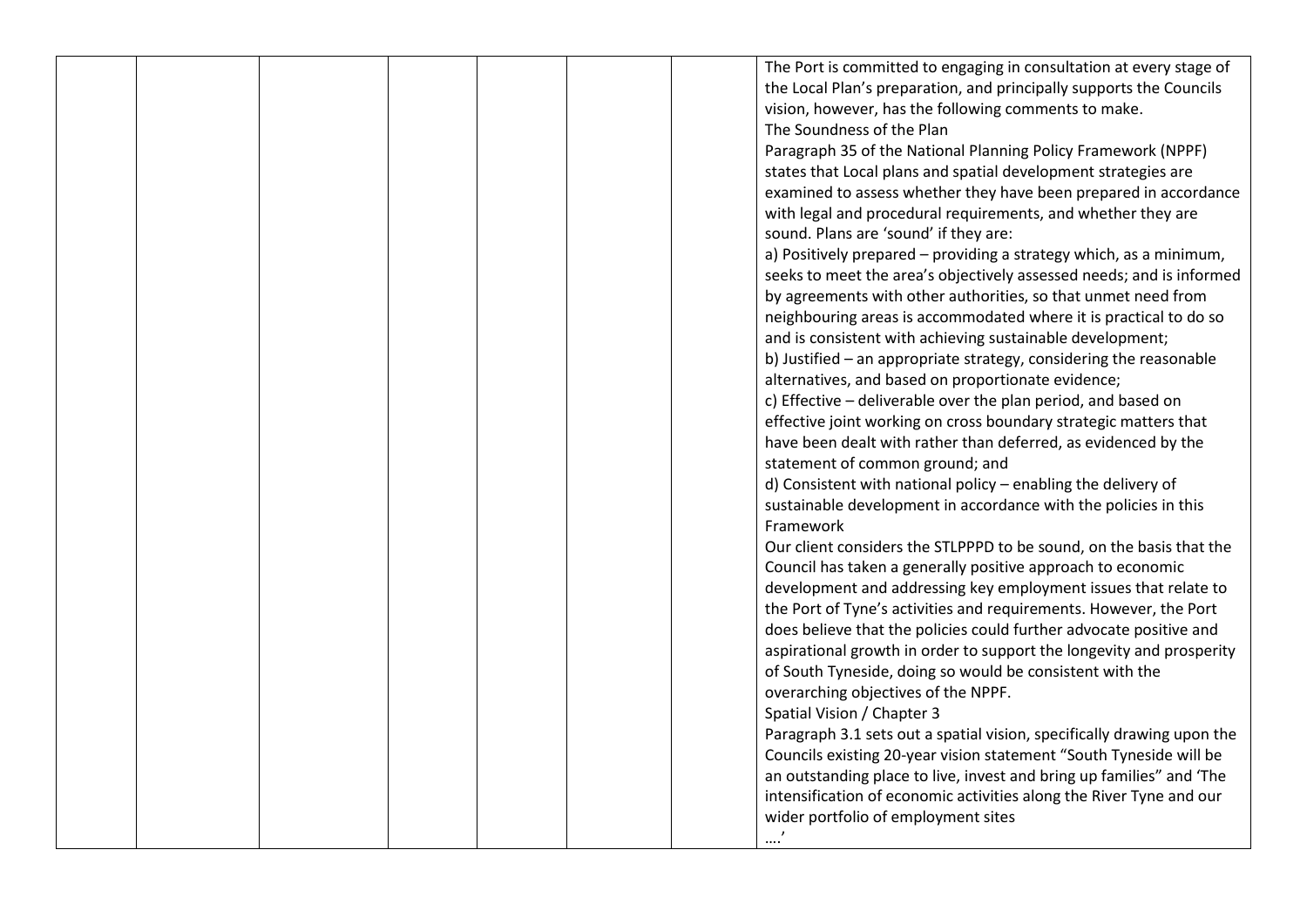|  |  |  | The Port is committed to engaging in consultation at every stage of    |
|--|--|--|------------------------------------------------------------------------|
|  |  |  | the Local Plan's preparation, and principally supports the Councils    |
|  |  |  | vision, however, has the following comments to make.                   |
|  |  |  | The Soundness of the Plan                                              |
|  |  |  | Paragraph 35 of the National Planning Policy Framework (NPPF)          |
|  |  |  | states that Local plans and spatial development strategies are         |
|  |  |  | examined to assess whether they have been prepared in accordance       |
|  |  |  | with legal and procedural requirements, and whether they are           |
|  |  |  | sound. Plans are 'sound' if they are:                                  |
|  |  |  | a) Positively prepared - providing a strategy which, as a minimum,     |
|  |  |  | seeks to meet the area's objectively assessed needs; and is informed   |
|  |  |  | by agreements with other authorities, so that unmet need from          |
|  |  |  | neighbouring areas is accommodated where it is practical to do so      |
|  |  |  | and is consistent with achieving sustainable development;              |
|  |  |  | b) Justified - an appropriate strategy, considering the reasonable     |
|  |  |  | alternatives, and based on proportionate evidence;                     |
|  |  |  | c) Effective - deliverable over the plan period, and based on          |
|  |  |  | effective joint working on cross boundary strategic matters that       |
|  |  |  | have been dealt with rather than deferred, as evidenced by the         |
|  |  |  | statement of common ground; and                                        |
|  |  |  | d) Consistent with national policy - enabling the delivery of          |
|  |  |  | sustainable development in accordance with the policies in this        |
|  |  |  | Framework                                                              |
|  |  |  | Our client considers the STLPPPD to be sound, on the basis that the    |
|  |  |  | Council has taken a generally positive approach to economic            |
|  |  |  | development and addressing key employment issues that relate to        |
|  |  |  | the Port of Tyne's activities and requirements. However, the Port      |
|  |  |  | does believe that the policies could further advocate positive and     |
|  |  |  | aspirational growth in order to support the longevity and prosperity   |
|  |  |  | of South Tyneside, doing so would be consistent with the               |
|  |  |  | overarching objectives of the NPPF.                                    |
|  |  |  |                                                                        |
|  |  |  | Spatial Vision / Chapter 3                                             |
|  |  |  | Paragraph 3.1 sets out a spatial vision, specifically drawing upon the |
|  |  |  | Councils existing 20-year vision statement "South Tyneside will be     |
|  |  |  | an outstanding place to live, invest and bring up families" and 'The   |
|  |  |  | intensification of economic activities along the River Tyne and our    |
|  |  |  | wider portfolio of employment sites                                    |
|  |  |  |                                                                        |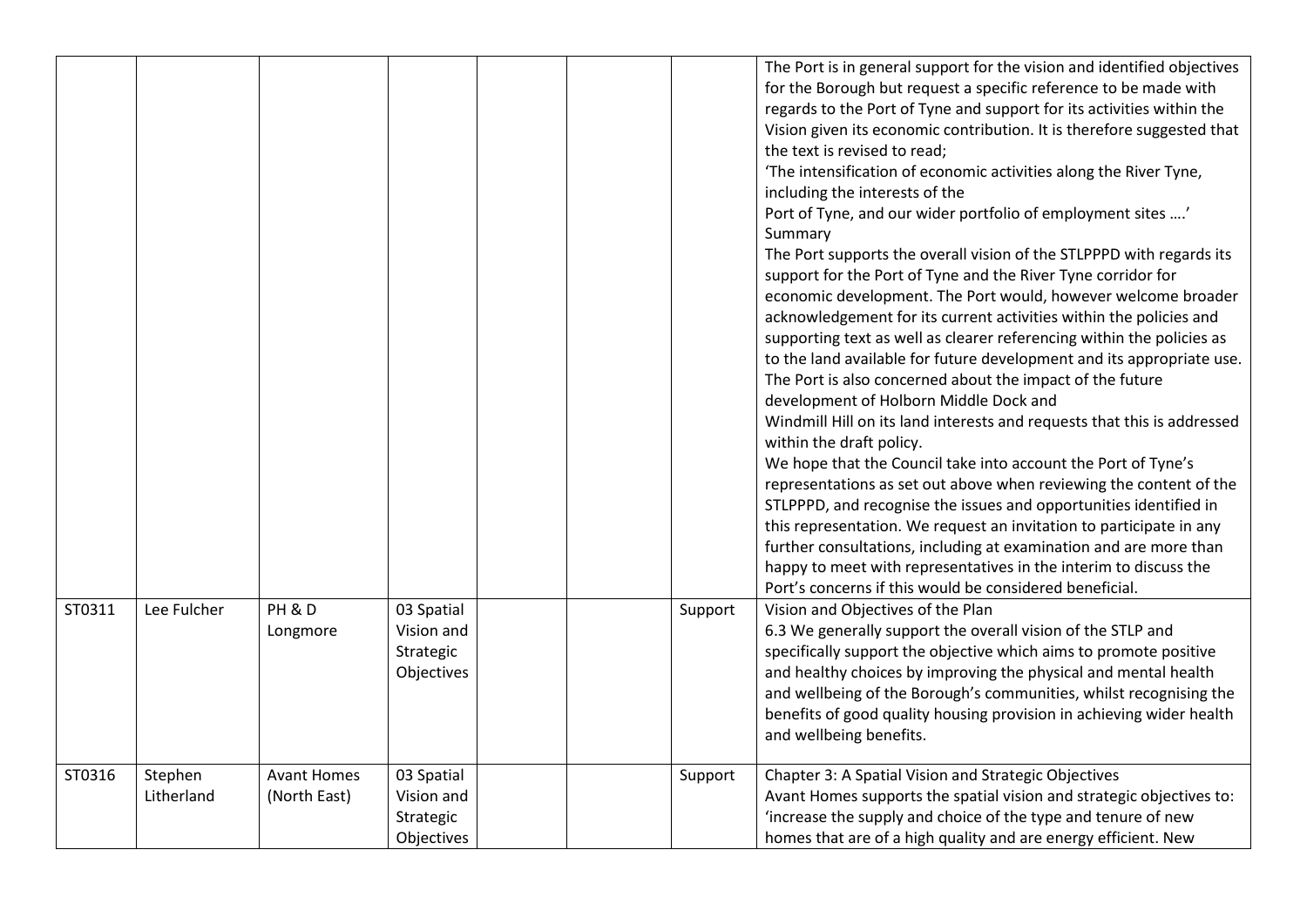|        |                       |                                    |                                                     |  |         | The Port is in general support for the vision and identified objectives<br>for the Borough but request a specific reference to be made with<br>regards to the Port of Tyne and support for its activities within the<br>Vision given its economic contribution. It is therefore suggested that<br>the text is revised to read;<br>'The intensification of economic activities along the River Tyne,<br>including the interests of the<br>Port of Tyne, and our wider portfolio of employment sites '<br>Summary<br>The Port supports the overall vision of the STLPPPD with regards its<br>support for the Port of Tyne and the River Tyne corridor for<br>economic development. The Port would, however welcome broader<br>acknowledgement for its current activities within the policies and<br>supporting text as well as clearer referencing within the policies as<br>to the land available for future development and its appropriate use.<br>The Port is also concerned about the impact of the future<br>development of Holborn Middle Dock and<br>Windmill Hill on its land interests and requests that this is addressed<br>within the draft policy.<br>We hope that the Council take into account the Port of Tyne's<br>representations as set out above when reviewing the content of the<br>STLPPPD, and recognise the issues and opportunities identified in<br>this representation. We request an invitation to participate in any |
|--------|-----------------------|------------------------------------|-----------------------------------------------------|--|---------|---------------------------------------------------------------------------------------------------------------------------------------------------------------------------------------------------------------------------------------------------------------------------------------------------------------------------------------------------------------------------------------------------------------------------------------------------------------------------------------------------------------------------------------------------------------------------------------------------------------------------------------------------------------------------------------------------------------------------------------------------------------------------------------------------------------------------------------------------------------------------------------------------------------------------------------------------------------------------------------------------------------------------------------------------------------------------------------------------------------------------------------------------------------------------------------------------------------------------------------------------------------------------------------------------------------------------------------------------------------------------------------------------------------------------------------------------|
|        |                       |                                    |                                                     |  |         | further consultations, including at examination and are more than<br>happy to meet with representatives in the interim to discuss the<br>Port's concerns if this would be considered beneficial.                                                                                                                                                                                                                                                                                                                                                                                                                                                                                                                                                                                                                                                                                                                                                                                                                                                                                                                                                                                                                                                                                                                                                                                                                                                  |
| ST0311 | Lee Fulcher           | PH & D<br>Longmore                 | 03 Spatial<br>Vision and<br>Strategic<br>Objectives |  | Support | Vision and Objectives of the Plan<br>6.3 We generally support the overall vision of the STLP and<br>specifically support the objective which aims to promote positive<br>and healthy choices by improving the physical and mental health<br>and wellbeing of the Borough's communities, whilst recognising the<br>benefits of good quality housing provision in achieving wider health<br>and wellbeing benefits.                                                                                                                                                                                                                                                                                                                                                                                                                                                                                                                                                                                                                                                                                                                                                                                                                                                                                                                                                                                                                                 |
| ST0316 | Stephen<br>Litherland | <b>Avant Homes</b><br>(North East) | 03 Spatial<br>Vision and<br>Strategic<br>Objectives |  | Support | Chapter 3: A Spatial Vision and Strategic Objectives<br>Avant Homes supports the spatial vision and strategic objectives to:<br>'increase the supply and choice of the type and tenure of new<br>homes that are of a high quality and are energy efficient. New                                                                                                                                                                                                                                                                                                                                                                                                                                                                                                                                                                                                                                                                                                                                                                                                                                                                                                                                                                                                                                                                                                                                                                                   |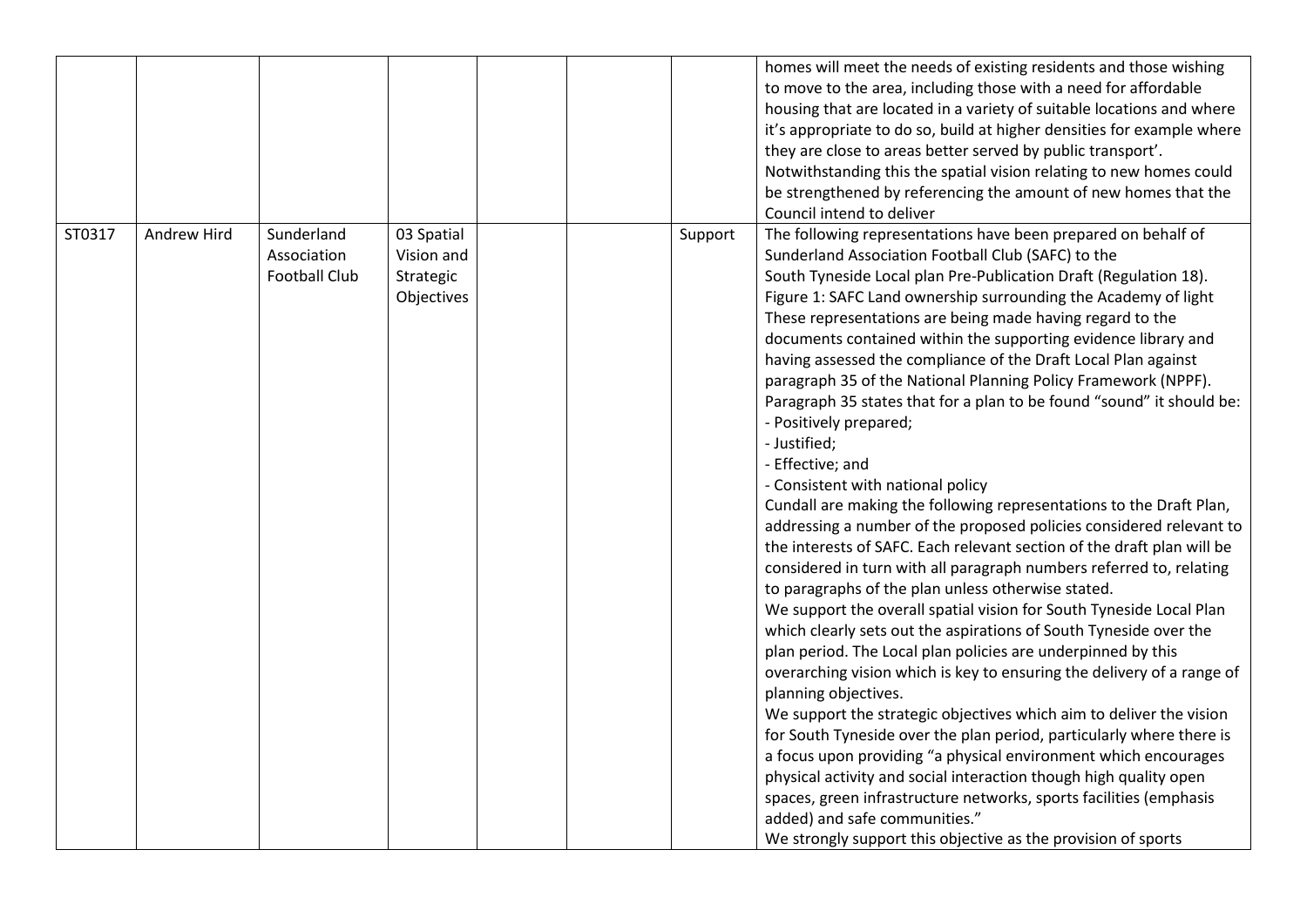|        |             |                                                   |                                                     |  |         | homes will meet the needs of existing residents and those wishing<br>to move to the area, including those with a need for affordable<br>housing that are located in a variety of suitable locations and where<br>it's appropriate to do so, build at higher densities for example where<br>they are close to areas better served by public transport'.<br>Notwithstanding this the spatial vision relating to new homes could<br>be strengthened by referencing the amount of new homes that the<br>Council intend to deliver                                                                                                                                                                                                                                                                                                                                                                                                                                                                                                                                                                                                                                                                                                                                                                                                                                                                                                                                                                                                                                                                                                                                                                                                                                                                                                              |
|--------|-------------|---------------------------------------------------|-----------------------------------------------------|--|---------|--------------------------------------------------------------------------------------------------------------------------------------------------------------------------------------------------------------------------------------------------------------------------------------------------------------------------------------------------------------------------------------------------------------------------------------------------------------------------------------------------------------------------------------------------------------------------------------------------------------------------------------------------------------------------------------------------------------------------------------------------------------------------------------------------------------------------------------------------------------------------------------------------------------------------------------------------------------------------------------------------------------------------------------------------------------------------------------------------------------------------------------------------------------------------------------------------------------------------------------------------------------------------------------------------------------------------------------------------------------------------------------------------------------------------------------------------------------------------------------------------------------------------------------------------------------------------------------------------------------------------------------------------------------------------------------------------------------------------------------------------------------------------------------------------------------------------------------------|
| ST0317 | Andrew Hird | Sunderland<br>Association<br><b>Football Club</b> | 03 Spatial<br>Vision and<br>Strategic<br>Objectives |  | Support | The following representations have been prepared on behalf of<br>Sunderland Association Football Club (SAFC) to the<br>South Tyneside Local plan Pre-Publication Draft (Regulation 18).<br>Figure 1: SAFC Land ownership surrounding the Academy of light<br>These representations are being made having regard to the<br>documents contained within the supporting evidence library and<br>having assessed the compliance of the Draft Local Plan against<br>paragraph 35 of the National Planning Policy Framework (NPPF).<br>Paragraph 35 states that for a plan to be found "sound" it should be:<br>- Positively prepared;<br>- Justified;<br>- Effective; and<br>- Consistent with national policy<br>Cundall are making the following representations to the Draft Plan,<br>addressing a number of the proposed policies considered relevant to<br>the interests of SAFC. Each relevant section of the draft plan will be<br>considered in turn with all paragraph numbers referred to, relating<br>to paragraphs of the plan unless otherwise stated.<br>We support the overall spatial vision for South Tyneside Local Plan<br>which clearly sets out the aspirations of South Tyneside over the<br>plan period. The Local plan policies are underpinned by this<br>overarching vision which is key to ensuring the delivery of a range of<br>planning objectives.<br>We support the strategic objectives which aim to deliver the vision<br>for South Tyneside over the plan period, particularly where there is<br>a focus upon providing "a physical environment which encourages<br>physical activity and social interaction though high quality open<br>spaces, green infrastructure networks, sports facilities (emphasis<br>added) and safe communities."<br>We strongly support this objective as the provision of sports |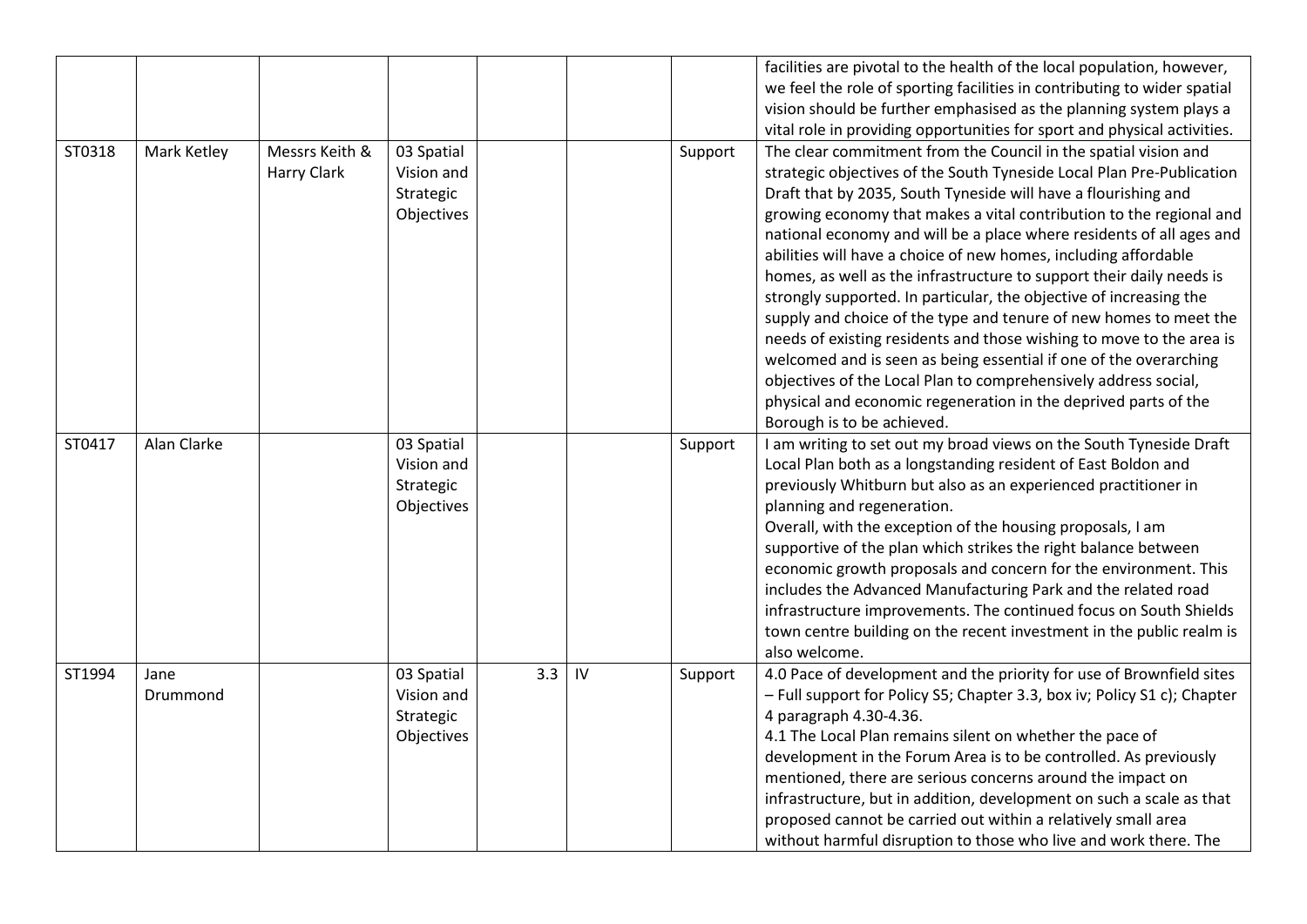|        |             |                |            |     |    |         | facilities are pivotal to the health of the local population, however,   |
|--------|-------------|----------------|------------|-----|----|---------|--------------------------------------------------------------------------|
|        |             |                |            |     |    |         | we feel the role of sporting facilities in contributing to wider spatial |
|        |             |                |            |     |    |         | vision should be further emphasised as the planning system plays a       |
|        |             |                |            |     |    |         | vital role in providing opportunities for sport and physical activities. |
| ST0318 | Mark Ketley | Messrs Keith & | 03 Spatial |     |    | Support | The clear commitment from the Council in the spatial vision and          |
|        |             | Harry Clark    | Vision and |     |    |         | strategic objectives of the South Tyneside Local Plan Pre-Publication    |
|        |             |                | Strategic  |     |    |         | Draft that by 2035, South Tyneside will have a flourishing and           |
|        |             |                | Objectives |     |    |         | growing economy that makes a vital contribution to the regional and      |
|        |             |                |            |     |    |         | national economy and will be a place where residents of all ages and     |
|        |             |                |            |     |    |         | abilities will have a choice of new homes, including affordable          |
|        |             |                |            |     |    |         | homes, as well as the infrastructure to support their daily needs is     |
|        |             |                |            |     |    |         | strongly supported. In particular, the objective of increasing the       |
|        |             |                |            |     |    |         | supply and choice of the type and tenure of new homes to meet the        |
|        |             |                |            |     |    |         | needs of existing residents and those wishing to move to the area is     |
|        |             |                |            |     |    |         | welcomed and is seen as being essential if one of the overarching        |
|        |             |                |            |     |    |         | objectives of the Local Plan to comprehensively address social,          |
|        |             |                |            |     |    |         | physical and economic regeneration in the deprived parts of the          |
|        |             |                |            |     |    |         | Borough is to be achieved.                                               |
| ST0417 | Alan Clarke |                | 03 Spatial |     |    | Support | I am writing to set out my broad views on the South Tyneside Draft       |
|        |             |                | Vision and |     |    |         | Local Plan both as a longstanding resident of East Boldon and            |
|        |             |                | Strategic  |     |    |         | previously Whitburn but also as an experienced practitioner in           |
|        |             |                | Objectives |     |    |         | planning and regeneration.                                               |
|        |             |                |            |     |    |         | Overall, with the exception of the housing proposals, I am               |
|        |             |                |            |     |    |         | supportive of the plan which strikes the right balance between           |
|        |             |                |            |     |    |         | economic growth proposals and concern for the environment. This          |
|        |             |                |            |     |    |         | includes the Advanced Manufacturing Park and the related road            |
|        |             |                |            |     |    |         | infrastructure improvements. The continued focus on South Shields        |
|        |             |                |            |     |    |         | town centre building on the recent investment in the public realm is     |
|        |             |                |            |     |    |         | also welcome.                                                            |
| ST1994 | Jane        |                | 03 Spatial | 3.3 | IV | Support | 4.0 Pace of development and the priority for use of Brownfield sites     |
|        | Drummond    |                | Vision and |     |    |         | - Full support for Policy S5; Chapter 3.3, box iv; Policy S1 c); Chapter |
|        |             |                | Strategic  |     |    |         | 4 paragraph 4.30-4.36.                                                   |
|        |             |                | Objectives |     |    |         | 4.1 The Local Plan remains silent on whether the pace of                 |
|        |             |                |            |     |    |         | development in the Forum Area is to be controlled. As previously         |
|        |             |                |            |     |    |         | mentioned, there are serious concerns around the impact on               |
|        |             |                |            |     |    |         | infrastructure, but in addition, development on such a scale as that     |
|        |             |                |            |     |    |         | proposed cannot be carried out within a relatively small area            |
|        |             |                |            |     |    |         | without harmful disruption to those who live and work there. The         |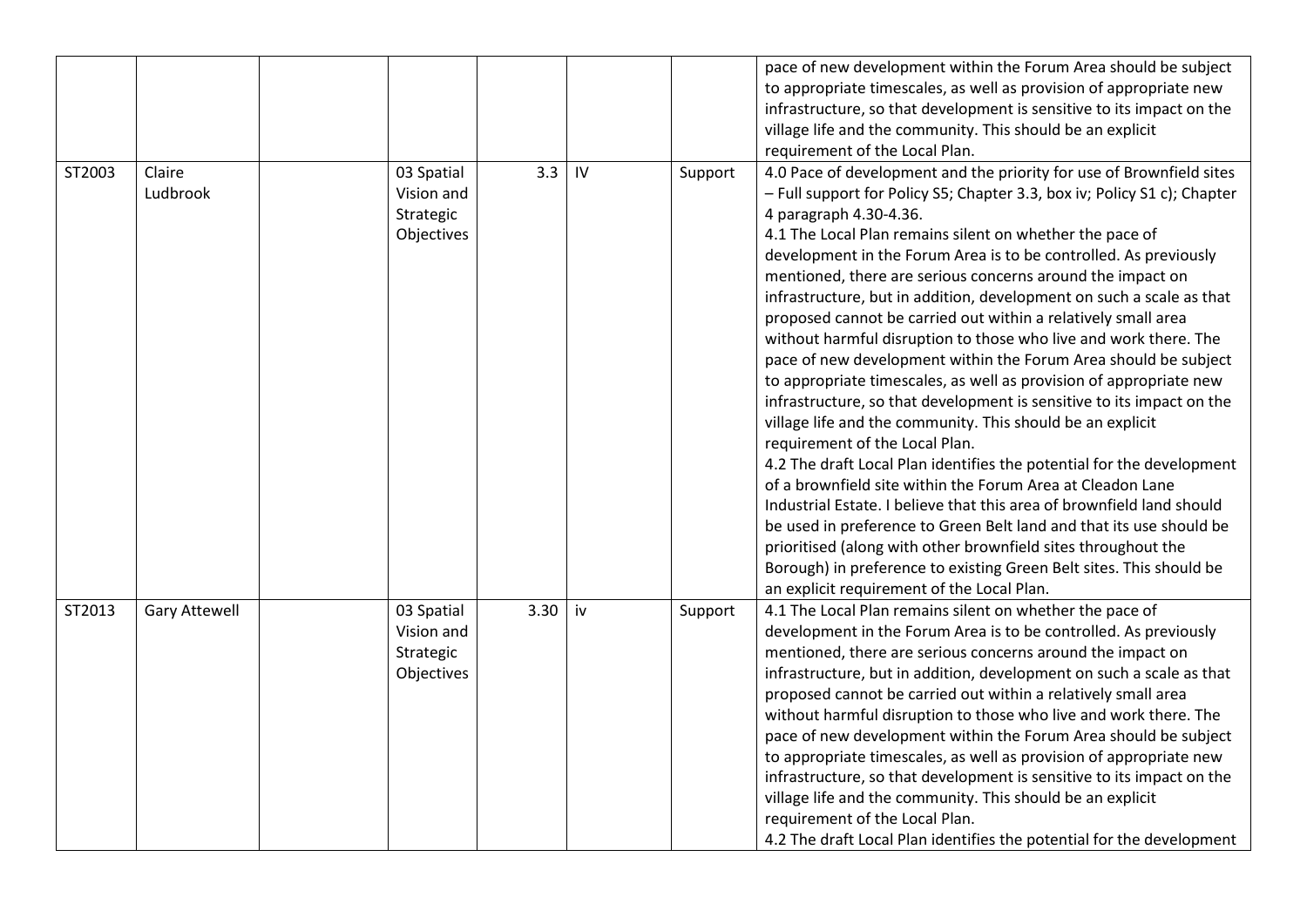|        |                      |            |      |    |         | pace of new development within the Forum Area should be subject                              |
|--------|----------------------|------------|------|----|---------|----------------------------------------------------------------------------------------------|
|        |                      |            |      |    |         | to appropriate timescales, as well as provision of appropriate new                           |
|        |                      |            |      |    |         | infrastructure, so that development is sensitive to its impact on the                        |
|        |                      |            |      |    |         |                                                                                              |
|        |                      |            |      |    |         | village life and the community. This should be an explicit                                   |
|        |                      |            |      |    |         | requirement of the Local Plan.                                                               |
| ST2003 | Claire               | 03 Spatial | 3.3  | IV | Support | 4.0 Pace of development and the priority for use of Brownfield sites                         |
|        | Ludbrook             | Vision and |      |    |         | - Full support for Policy S5; Chapter 3.3, box iv; Policy S1 c); Chapter                     |
|        |                      | Strategic  |      |    |         | 4 paragraph 4.30-4.36.                                                                       |
|        |                      | Objectives |      |    |         | 4.1 The Local Plan remains silent on whether the pace of                                     |
|        |                      |            |      |    |         | development in the Forum Area is to be controlled. As previously                             |
|        |                      |            |      |    |         | mentioned, there are serious concerns around the impact on                                   |
|        |                      |            |      |    |         | infrastructure, but in addition, development on such a scale as that                         |
|        |                      |            |      |    |         | proposed cannot be carried out within a relatively small area                                |
|        |                      |            |      |    |         | without harmful disruption to those who live and work there. The                             |
|        |                      |            |      |    |         | pace of new development within the Forum Area should be subject                              |
|        |                      |            |      |    |         | to appropriate timescales, as well as provision of appropriate new                           |
|        |                      |            |      |    |         | infrastructure, so that development is sensitive to its impact on the                        |
|        |                      |            |      |    |         | village life and the community. This should be an explicit                                   |
|        |                      |            |      |    |         | requirement of the Local Plan.                                                               |
|        |                      |            |      |    |         | 4.2 The draft Local Plan identifies the potential for the development                        |
|        |                      |            |      |    |         | of a brownfield site within the Forum Area at Cleadon Lane                                   |
|        |                      |            |      |    |         |                                                                                              |
|        |                      |            |      |    |         | Industrial Estate. I believe that this area of brownfield land should                        |
|        |                      |            |      |    |         | be used in preference to Green Belt land and that its use should be                          |
|        |                      |            |      |    |         | prioritised (along with other brownfield sites throughout the                                |
|        |                      |            |      |    |         | Borough) in preference to existing Green Belt sites. This should be                          |
|        |                      |            |      |    |         | an explicit requirement of the Local Plan.                                                   |
| ST2013 | <b>Gary Attewell</b> | 03 Spatial | 3.30 | iv | Support | 4.1 The Local Plan remains silent on whether the pace of                                     |
|        |                      | Vision and |      |    |         | development in the Forum Area is to be controlled. As previously                             |
|        |                      | Strategic  |      |    |         | mentioned, there are serious concerns around the impact on                                   |
|        |                      | Objectives |      |    |         | infrastructure, but in addition, development on such a scale as that                         |
|        |                      |            |      |    |         | proposed cannot be carried out within a relatively small area                                |
|        |                      |            |      |    |         | without harmful disruption to those who live and work there. The                             |
|        |                      |            |      |    |         | pace of new development within the Forum Area should be subject                              |
|        |                      |            |      |    |         | to appropriate timescales, as well as provision of appropriate new                           |
|        |                      |            |      |    |         | infrastructure, so that development is sensitive to its impact on the                        |
|        |                      |            |      |    |         |                                                                                              |
|        |                      |            |      |    |         |                                                                                              |
|        |                      |            |      |    |         | 4.2 The draft Local Plan identifies the potential for the development                        |
|        |                      |            |      |    |         | village life and the community. This should be an explicit<br>requirement of the Local Plan. |
|        |                      |            |      |    |         |                                                                                              |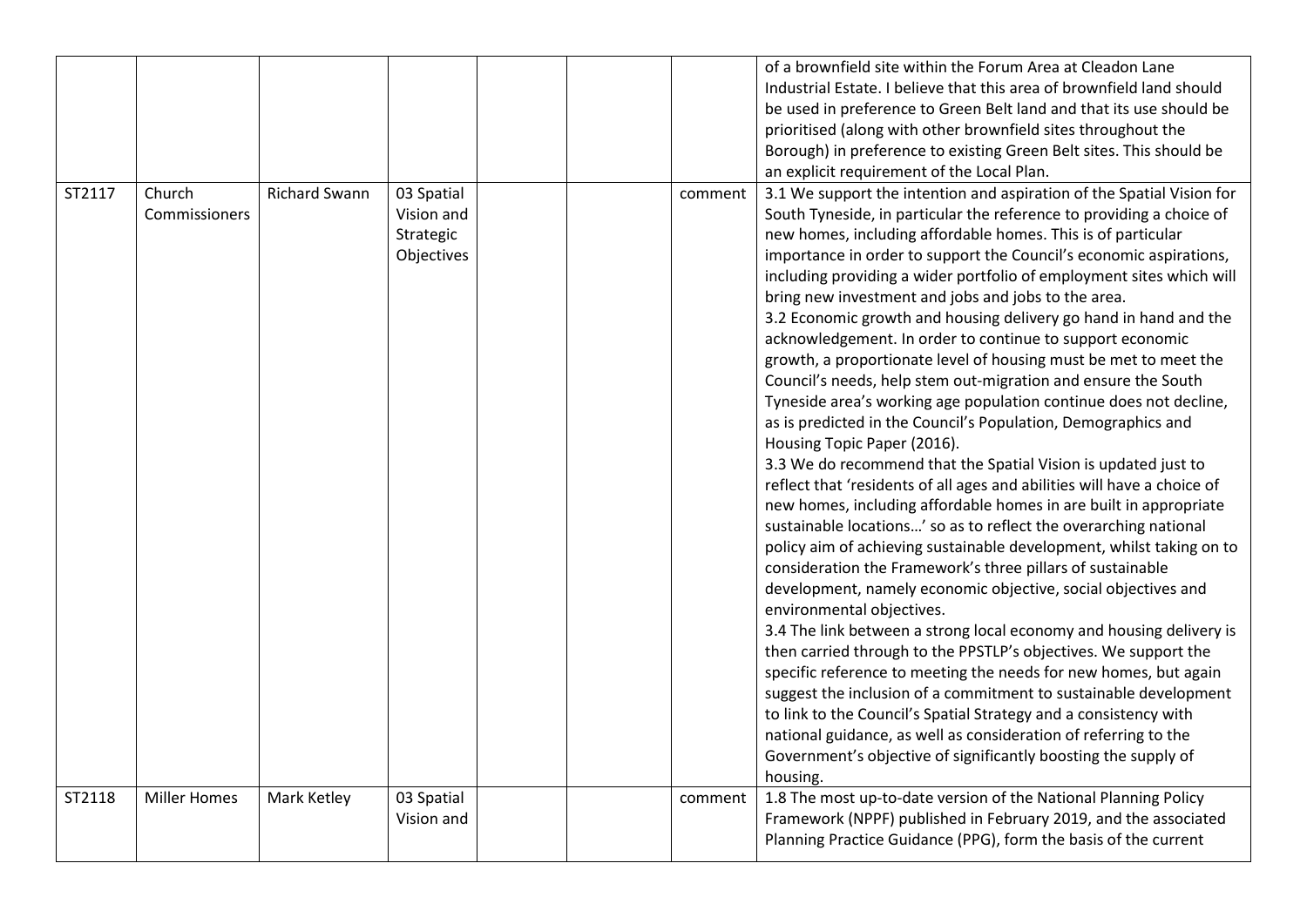|        |                         |                      |                                                     |  |         | of a brownfield site within the Forum Area at Cleadon Lane<br>Industrial Estate. I believe that this area of brownfield land should<br>be used in preference to Green Belt land and that its use should be<br>prioritised (along with other brownfield sites throughout the<br>Borough) in preference to existing Green Belt sites. This should be<br>an explicit requirement of the Local Plan.                                                                                                                                                                                                                                                                                                                                                                                                                                                                                                                                                                                                                                                                                                                                                                                                                                                                                                                                                                                                                                                                                                                                                                                                                                                                                                                                                                                                                                                                                               |
|--------|-------------------------|----------------------|-----------------------------------------------------|--|---------|------------------------------------------------------------------------------------------------------------------------------------------------------------------------------------------------------------------------------------------------------------------------------------------------------------------------------------------------------------------------------------------------------------------------------------------------------------------------------------------------------------------------------------------------------------------------------------------------------------------------------------------------------------------------------------------------------------------------------------------------------------------------------------------------------------------------------------------------------------------------------------------------------------------------------------------------------------------------------------------------------------------------------------------------------------------------------------------------------------------------------------------------------------------------------------------------------------------------------------------------------------------------------------------------------------------------------------------------------------------------------------------------------------------------------------------------------------------------------------------------------------------------------------------------------------------------------------------------------------------------------------------------------------------------------------------------------------------------------------------------------------------------------------------------------------------------------------------------------------------------------------------------|
| ST2117 | Church<br>Commissioners | <b>Richard Swann</b> | 03 Spatial<br>Vision and<br>Strategic<br>Objectives |  | comment | 3.1 We support the intention and aspiration of the Spatial Vision for<br>South Tyneside, in particular the reference to providing a choice of<br>new homes, including affordable homes. This is of particular<br>importance in order to support the Council's economic aspirations,<br>including providing a wider portfolio of employment sites which will<br>bring new investment and jobs and jobs to the area.<br>3.2 Economic growth and housing delivery go hand in hand and the<br>acknowledgement. In order to continue to support economic<br>growth, a proportionate level of housing must be met to meet the<br>Council's needs, help stem out-migration and ensure the South<br>Tyneside area's working age population continue does not decline,<br>as is predicted in the Council's Population, Demographics and<br>Housing Topic Paper (2016).<br>3.3 We do recommend that the Spatial Vision is updated just to<br>reflect that 'residents of all ages and abilities will have a choice of<br>new homes, including affordable homes in are built in appropriate<br>sustainable locations' so as to reflect the overarching national<br>policy aim of achieving sustainable development, whilst taking on to<br>consideration the Framework's three pillars of sustainable<br>development, namely economic objective, social objectives and<br>environmental objectives.<br>3.4 The link between a strong local economy and housing delivery is<br>then carried through to the PPSTLP's objectives. We support the<br>specific reference to meeting the needs for new homes, but again<br>suggest the inclusion of a commitment to sustainable development<br>to link to the Council's Spatial Strategy and a consistency with<br>national guidance, as well as consideration of referring to the<br>Government's objective of significantly boosting the supply of<br>housing. |
| ST2118 | <b>Miller Homes</b>     | Mark Ketley          | 03 Spatial<br>Vision and                            |  | comment | 1.8 The most up-to-date version of the National Planning Policy<br>Framework (NPPF) published in February 2019, and the associated<br>Planning Practice Guidance (PPG), form the basis of the current                                                                                                                                                                                                                                                                                                                                                                                                                                                                                                                                                                                                                                                                                                                                                                                                                                                                                                                                                                                                                                                                                                                                                                                                                                                                                                                                                                                                                                                                                                                                                                                                                                                                                          |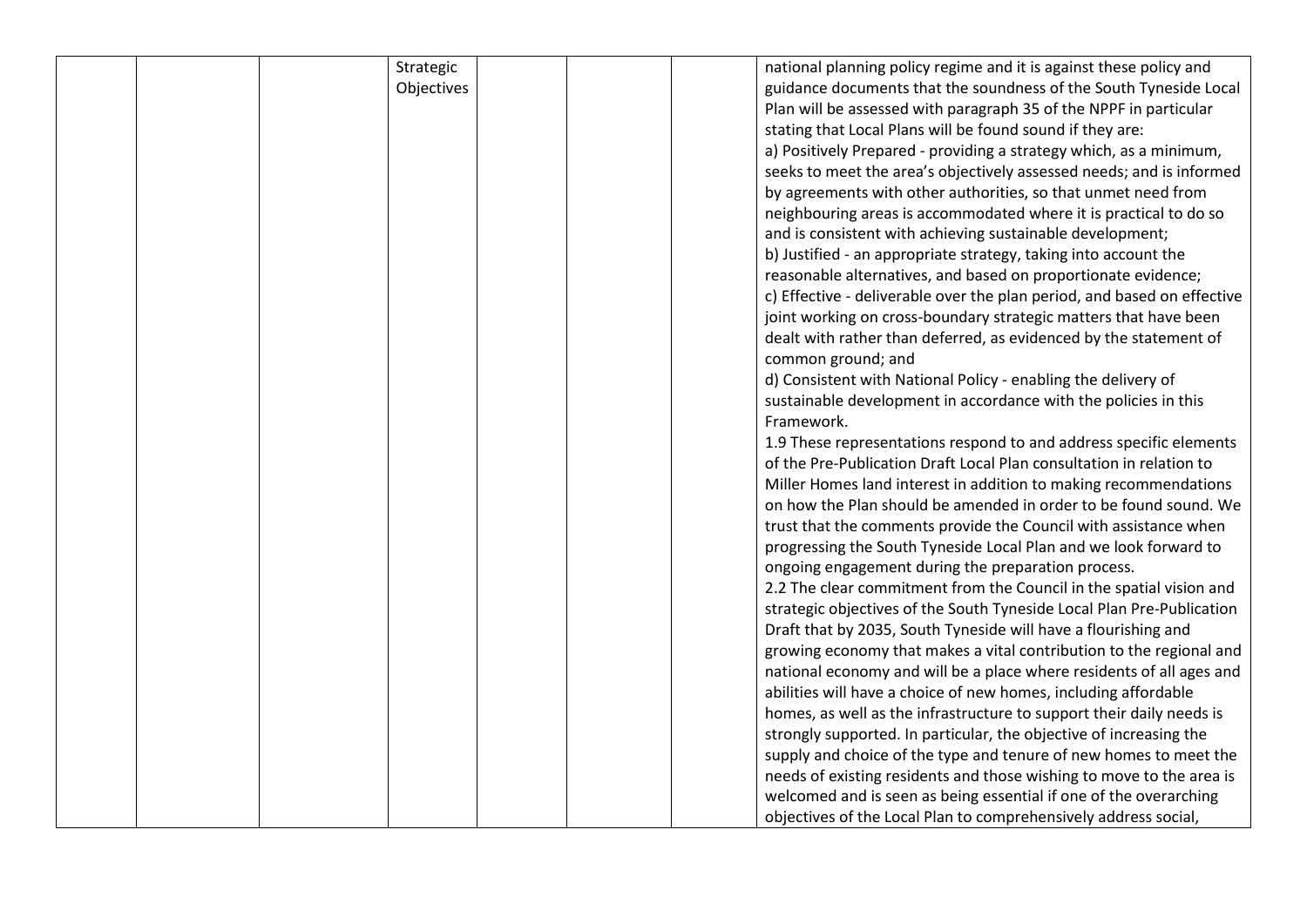| Strategic  | national planning policy regime and it is against these policy and      |
|------------|-------------------------------------------------------------------------|
| Objectives | guidance documents that the soundness of the South Tyneside Local       |
|            | Plan will be assessed with paragraph 35 of the NPPF in particular       |
|            | stating that Local Plans will be found sound if they are:               |
|            | a) Positively Prepared - providing a strategy which, as a minimum,      |
|            | seeks to meet the area's objectively assessed needs; and is informed    |
|            | by agreements with other authorities, so that unmet need from           |
|            | neighbouring areas is accommodated where it is practical to do so       |
|            | and is consistent with achieving sustainable development;               |
|            | b) Justified - an appropriate strategy, taking into account the         |
|            | reasonable alternatives, and based on proportionate evidence;           |
|            | c) Effective - deliverable over the plan period, and based on effective |
|            | joint working on cross-boundary strategic matters that have been        |
|            | dealt with rather than deferred, as evidenced by the statement of       |
|            | common ground; and                                                      |
|            | d) Consistent with National Policy - enabling the delivery of           |
|            | sustainable development in accordance with the policies in this         |
|            | Framework.                                                              |
|            | 1.9 These representations respond to and address specific elements      |
|            | of the Pre-Publication Draft Local Plan consultation in relation to     |
|            | Miller Homes land interest in addition to making recommendations        |
|            | on how the Plan should be amended in order to be found sound. We        |
|            | trust that the comments provide the Council with assistance when        |
|            |                                                                         |
|            | progressing the South Tyneside Local Plan and we look forward to        |
|            | ongoing engagement during the preparation process.                      |
|            | 2.2 The clear commitment from the Council in the spatial vision and     |
|            | strategic objectives of the South Tyneside Local Plan Pre-Publication   |
|            | Draft that by 2035, South Tyneside will have a flourishing and          |
|            | growing economy that makes a vital contribution to the regional and     |
|            | national economy and will be a place where residents of all ages and    |
|            | abilities will have a choice of new homes, including affordable         |
|            | homes, as well as the infrastructure to support their daily needs is    |
|            | strongly supported. In particular, the objective of increasing the      |
|            | supply and choice of the type and tenure of new homes to meet the       |
|            | needs of existing residents and those wishing to move to the area is    |
|            | welcomed and is seen as being essential if one of the overarching       |
|            | objectives of the Local Plan to comprehensively address social,         |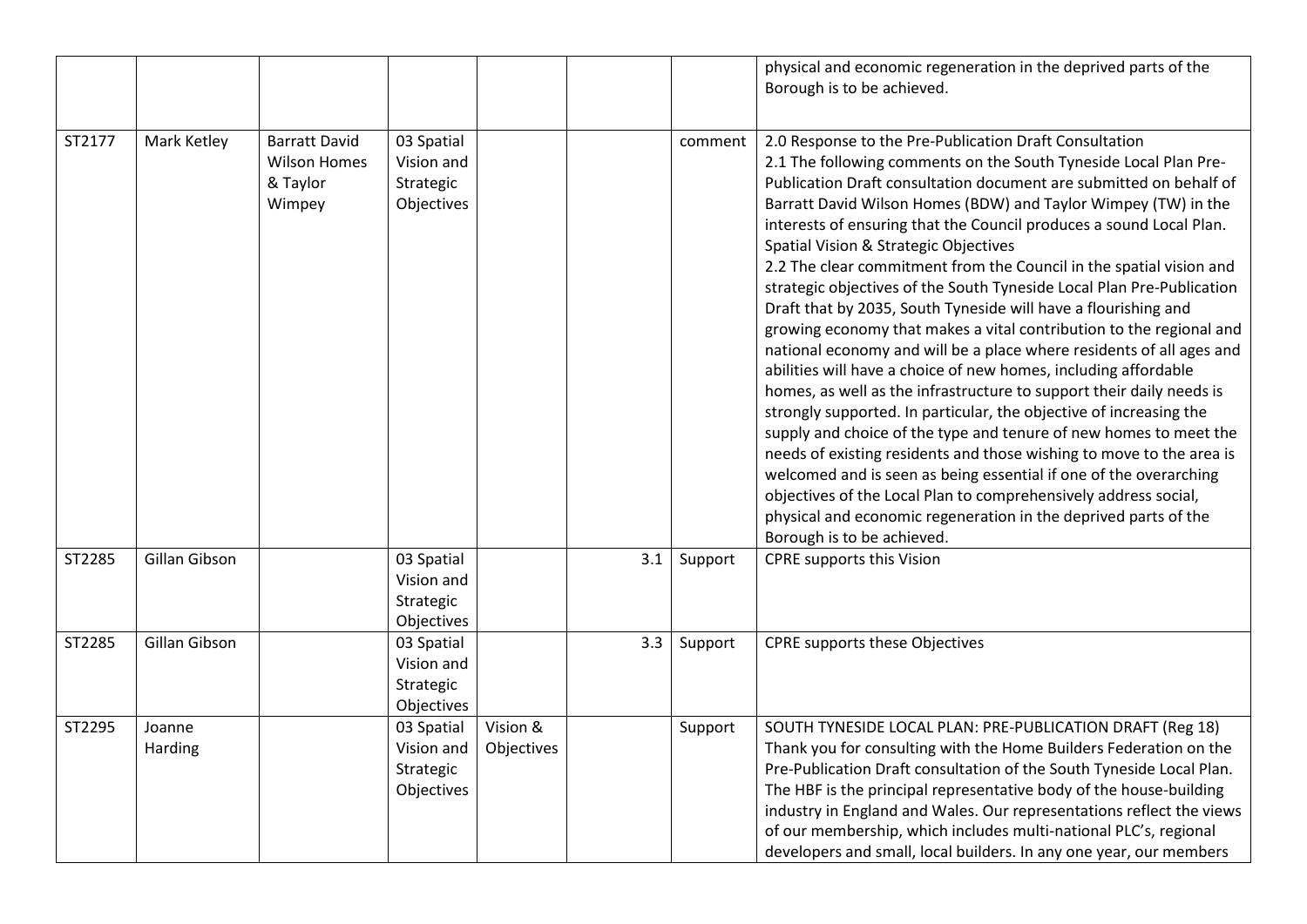|        |                   |                                                                   |                                                     |                        |     |         | physical and economic regeneration in the deprived parts of the<br>Borough is to be achieved.                                                                                                                                                                                                                                                                                                                                                                                                                                                                                                                                                                                                                                                                                                                                                                                                                                                                                                                                                                                                                                                                                                                                                                                                                                                              |
|--------|-------------------|-------------------------------------------------------------------|-----------------------------------------------------|------------------------|-----|---------|------------------------------------------------------------------------------------------------------------------------------------------------------------------------------------------------------------------------------------------------------------------------------------------------------------------------------------------------------------------------------------------------------------------------------------------------------------------------------------------------------------------------------------------------------------------------------------------------------------------------------------------------------------------------------------------------------------------------------------------------------------------------------------------------------------------------------------------------------------------------------------------------------------------------------------------------------------------------------------------------------------------------------------------------------------------------------------------------------------------------------------------------------------------------------------------------------------------------------------------------------------------------------------------------------------------------------------------------------------|
| ST2177 | Mark Ketley       | <b>Barratt David</b><br><b>Wilson Homes</b><br>& Taylor<br>Wimpey | 03 Spatial<br>Vision and<br>Strategic<br>Objectives |                        |     | comment | 2.0 Response to the Pre-Publication Draft Consultation<br>2.1 The following comments on the South Tyneside Local Plan Pre-<br>Publication Draft consultation document are submitted on behalf of<br>Barratt David Wilson Homes (BDW) and Taylor Wimpey (TW) in the<br>interests of ensuring that the Council produces a sound Local Plan.<br>Spatial Vision & Strategic Objectives<br>2.2 The clear commitment from the Council in the spatial vision and<br>strategic objectives of the South Tyneside Local Plan Pre-Publication<br>Draft that by 2035, South Tyneside will have a flourishing and<br>growing economy that makes a vital contribution to the regional and<br>national economy and will be a place where residents of all ages and<br>abilities will have a choice of new homes, including affordable<br>homes, as well as the infrastructure to support their daily needs is<br>strongly supported. In particular, the objective of increasing the<br>supply and choice of the type and tenure of new homes to meet the<br>needs of existing residents and those wishing to move to the area is<br>welcomed and is seen as being essential if one of the overarching<br>objectives of the Local Plan to comprehensively address social,<br>physical and economic regeneration in the deprived parts of the<br>Borough is to be achieved. |
| ST2285 | Gillan Gibson     |                                                                   | 03 Spatial<br>Vision and<br>Strategic<br>Objectives |                        | 3.1 | Support | CPRE supports this Vision                                                                                                                                                                                                                                                                                                                                                                                                                                                                                                                                                                                                                                                                                                                                                                                                                                                                                                                                                                                                                                                                                                                                                                                                                                                                                                                                  |
| ST2285 | Gillan Gibson     |                                                                   | 03 Spatial<br>Vision and<br>Strategic<br>Objectives |                        | 3.3 | Support | CPRE supports these Objectives                                                                                                                                                                                                                                                                                                                                                                                                                                                                                                                                                                                                                                                                                                                                                                                                                                                                                                                                                                                                                                                                                                                                                                                                                                                                                                                             |
| ST2295 | Joanne<br>Harding |                                                                   | 03 Spatial<br>Vision and<br>Strategic<br>Objectives | Vision &<br>Objectives |     | Support | SOUTH TYNESIDE LOCAL PLAN: PRE-PUBLICATION DRAFT (Reg 18)<br>Thank you for consulting with the Home Builders Federation on the<br>Pre-Publication Draft consultation of the South Tyneside Local Plan.<br>The HBF is the principal representative body of the house-building<br>industry in England and Wales. Our representations reflect the views<br>of our membership, which includes multi-national PLC's, regional<br>developers and small, local builders. In any one year, our members                                                                                                                                                                                                                                                                                                                                                                                                                                                                                                                                                                                                                                                                                                                                                                                                                                                             |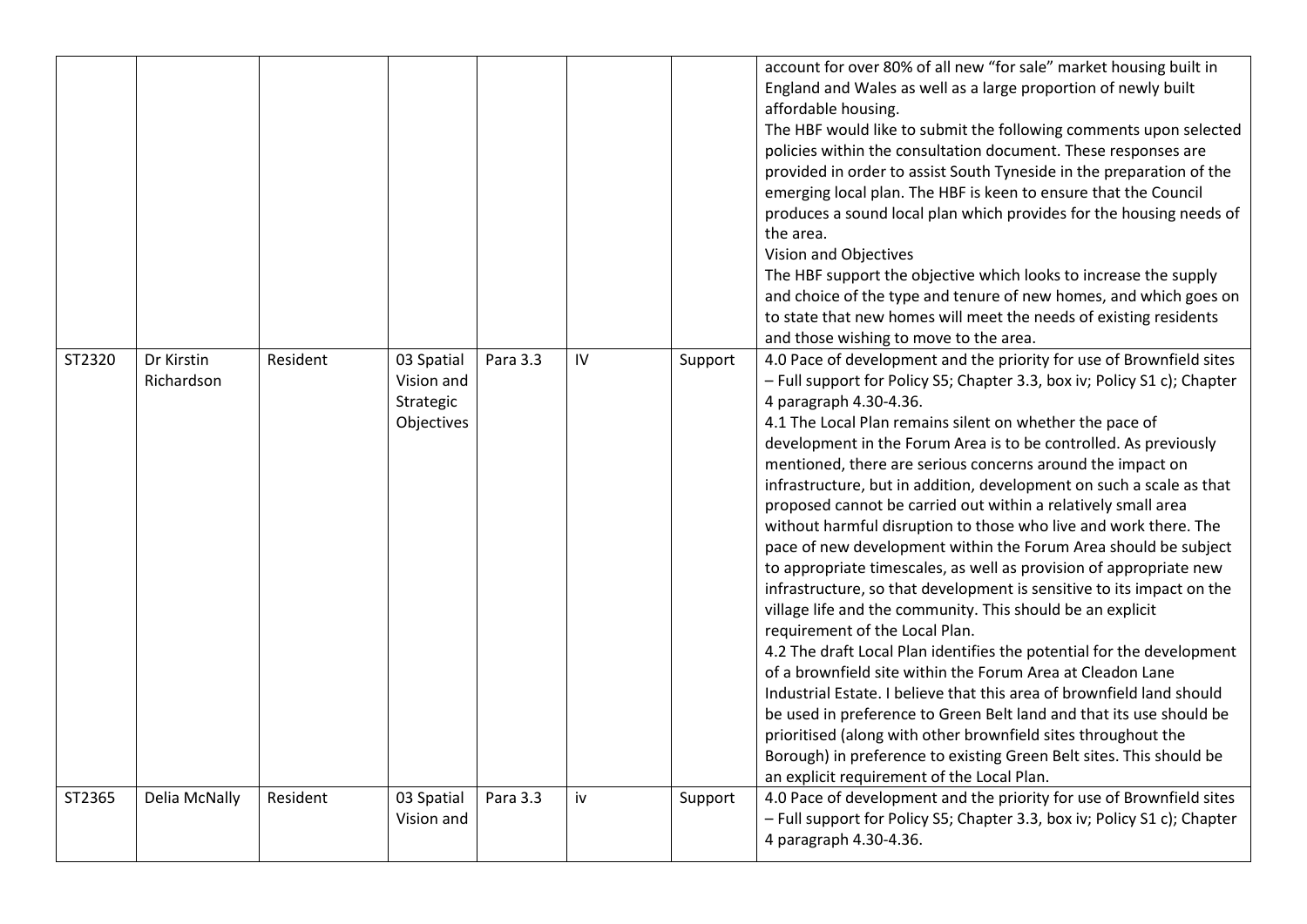|        |                          |          |                                                     |          |    |         | account for over 80% of all new "for sale" market housing built in<br>England and Wales as well as a large proportion of newly built<br>affordable housing.<br>The HBF would like to submit the following comments upon selected<br>policies within the consultation document. These responses are<br>provided in order to assist South Tyneside in the preparation of the<br>emerging local plan. The HBF is keen to ensure that the Council<br>produces a sound local plan which provides for the housing needs of<br>the area.<br>Vision and Objectives<br>The HBF support the objective which looks to increase the supply<br>and choice of the type and tenure of new homes, and which goes on<br>to state that new homes will meet the needs of existing residents<br>and those wishing to move to the area.                                                                                                                                                                                                                                                                                                                                                                                                                                                                                                                                                                   |
|--------|--------------------------|----------|-----------------------------------------------------|----------|----|---------|--------------------------------------------------------------------------------------------------------------------------------------------------------------------------------------------------------------------------------------------------------------------------------------------------------------------------------------------------------------------------------------------------------------------------------------------------------------------------------------------------------------------------------------------------------------------------------------------------------------------------------------------------------------------------------------------------------------------------------------------------------------------------------------------------------------------------------------------------------------------------------------------------------------------------------------------------------------------------------------------------------------------------------------------------------------------------------------------------------------------------------------------------------------------------------------------------------------------------------------------------------------------------------------------------------------------------------------------------------------------------------------|
| ST2320 | Dr Kirstin<br>Richardson | Resident | 03 Spatial<br>Vision and<br>Strategic<br>Objectives | Para 3.3 | IV | Support | 4.0 Pace of development and the priority for use of Brownfield sites<br>- Full support for Policy S5; Chapter 3.3, box iv; Policy S1 c); Chapter<br>4 paragraph 4.30-4.36.<br>4.1 The Local Plan remains silent on whether the pace of<br>development in the Forum Area is to be controlled. As previously<br>mentioned, there are serious concerns around the impact on<br>infrastructure, but in addition, development on such a scale as that<br>proposed cannot be carried out within a relatively small area<br>without harmful disruption to those who live and work there. The<br>pace of new development within the Forum Area should be subject<br>to appropriate timescales, as well as provision of appropriate new<br>infrastructure, so that development is sensitive to its impact on the<br>village life and the community. This should be an explicit<br>requirement of the Local Plan.<br>4.2 The draft Local Plan identifies the potential for the development<br>of a brownfield site within the Forum Area at Cleadon Lane<br>Industrial Estate. I believe that this area of brownfield land should<br>be used in preference to Green Belt land and that its use should be<br>prioritised (along with other brownfield sites throughout the<br>Borough) in preference to existing Green Belt sites. This should be<br>an explicit requirement of the Local Plan. |
| ST2365 | Delia McNally            | Resident | 03 Spatial<br>Vision and                            | Para 3.3 | iv | Support | 4.0 Pace of development and the priority for use of Brownfield sites<br>- Full support for Policy S5; Chapter 3.3, box iv; Policy S1 c); Chapter<br>4 paragraph 4.30-4.36.                                                                                                                                                                                                                                                                                                                                                                                                                                                                                                                                                                                                                                                                                                                                                                                                                                                                                                                                                                                                                                                                                                                                                                                                           |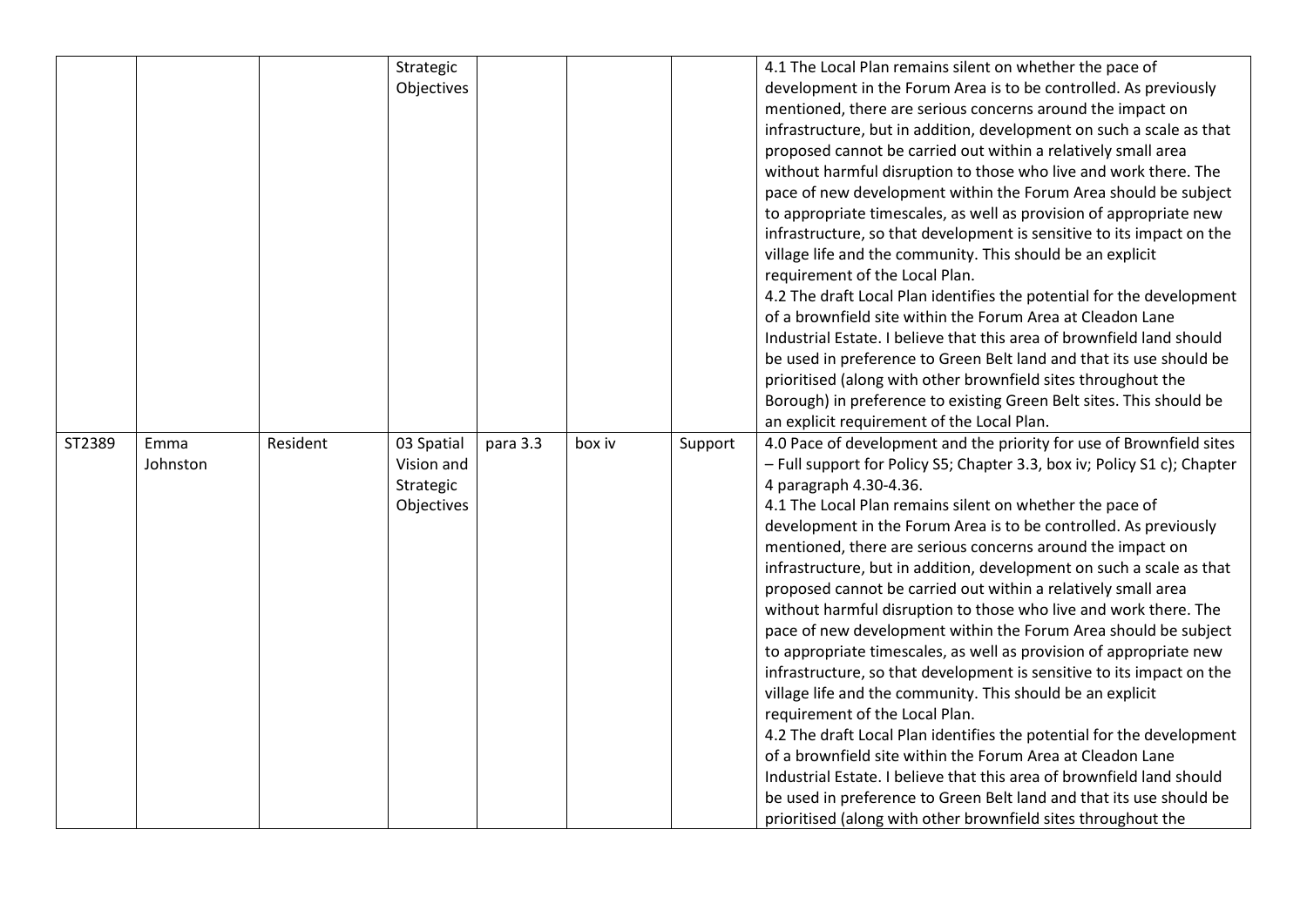|        |                  |          | Strategic<br>Objectives                             |          |        |         | 4.1 The Local Plan remains silent on whether the pace of<br>development in the Forum Area is to be controlled. As previously<br>mentioned, there are serious concerns around the impact on<br>infrastructure, but in addition, development on such a scale as that<br>proposed cannot be carried out within a relatively small area<br>without harmful disruption to those who live and work there. The<br>pace of new development within the Forum Area should be subject<br>to appropriate timescales, as well as provision of appropriate new<br>infrastructure, so that development is sensitive to its impact on the<br>village life and the community. This should be an explicit<br>requirement of the Local Plan.<br>4.2 The draft Local Plan identifies the potential for the development<br>of a brownfield site within the Forum Area at Cleadon Lane<br>Industrial Estate. I believe that this area of brownfield land should<br>be used in preference to Green Belt land and that its use should be<br>prioritised (along with other brownfield sites throughout the<br>Borough) in preference to existing Green Belt sites. This should be<br>an explicit requirement of the Local Plan.                                                          |
|--------|------------------|----------|-----------------------------------------------------|----------|--------|---------|-----------------------------------------------------------------------------------------------------------------------------------------------------------------------------------------------------------------------------------------------------------------------------------------------------------------------------------------------------------------------------------------------------------------------------------------------------------------------------------------------------------------------------------------------------------------------------------------------------------------------------------------------------------------------------------------------------------------------------------------------------------------------------------------------------------------------------------------------------------------------------------------------------------------------------------------------------------------------------------------------------------------------------------------------------------------------------------------------------------------------------------------------------------------------------------------------------------------------------------------------------------------|
| ST2389 | Emma<br>Johnston | Resident | 03 Spatial<br>Vision and<br>Strategic<br>Objectives | para 3.3 | box iv | Support | 4.0 Pace of development and the priority for use of Brownfield sites<br>- Full support for Policy S5; Chapter 3.3, box iv; Policy S1 c); Chapter<br>4 paragraph 4.30-4.36.<br>4.1 The Local Plan remains silent on whether the pace of<br>development in the Forum Area is to be controlled. As previously<br>mentioned, there are serious concerns around the impact on<br>infrastructure, but in addition, development on such a scale as that<br>proposed cannot be carried out within a relatively small area<br>without harmful disruption to those who live and work there. The<br>pace of new development within the Forum Area should be subject<br>to appropriate timescales, as well as provision of appropriate new<br>infrastructure, so that development is sensitive to its impact on the<br>village life and the community. This should be an explicit<br>requirement of the Local Plan.<br>4.2 The draft Local Plan identifies the potential for the development<br>of a brownfield site within the Forum Area at Cleadon Lane<br>Industrial Estate. I believe that this area of brownfield land should<br>be used in preference to Green Belt land and that its use should be<br>prioritised (along with other brownfield sites throughout the |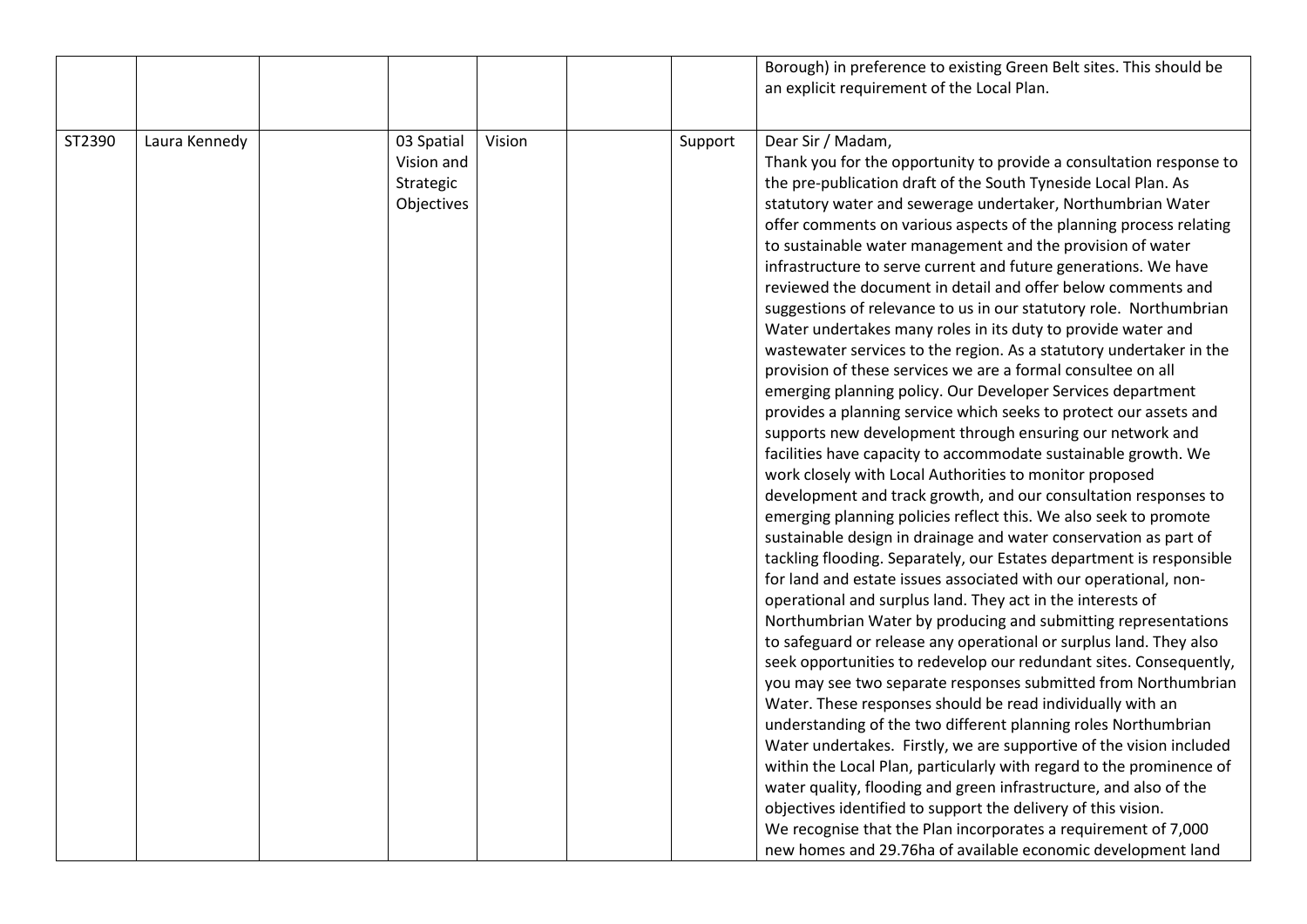|        |               |                                                     |        |         | Borough) in preference to existing Green Belt sites. This should be<br>an explicit requirement of the Local Plan.                                                                                                                                                                                                                                                                                                                                                                                                                                                                                                                                                                                                                                                                                                                                                                                                                                                                                                                                                                                                                                                                                                                                                                                                                                                                                                                                                                                                                                                                                                                                                                                                                                                                                                                                                                                                                                                                                                                                                                                                                                                                                                                                                                                                                                                       |
|--------|---------------|-----------------------------------------------------|--------|---------|-------------------------------------------------------------------------------------------------------------------------------------------------------------------------------------------------------------------------------------------------------------------------------------------------------------------------------------------------------------------------------------------------------------------------------------------------------------------------------------------------------------------------------------------------------------------------------------------------------------------------------------------------------------------------------------------------------------------------------------------------------------------------------------------------------------------------------------------------------------------------------------------------------------------------------------------------------------------------------------------------------------------------------------------------------------------------------------------------------------------------------------------------------------------------------------------------------------------------------------------------------------------------------------------------------------------------------------------------------------------------------------------------------------------------------------------------------------------------------------------------------------------------------------------------------------------------------------------------------------------------------------------------------------------------------------------------------------------------------------------------------------------------------------------------------------------------------------------------------------------------------------------------------------------------------------------------------------------------------------------------------------------------------------------------------------------------------------------------------------------------------------------------------------------------------------------------------------------------------------------------------------------------------------------------------------------------------------------------------------------------|
| ST2390 | Laura Kennedy | 03 Spatial<br>Vision and<br>Strategic<br>Objectives | Vision | Support | Dear Sir / Madam,<br>Thank you for the opportunity to provide a consultation response to<br>the pre-publication draft of the South Tyneside Local Plan. As<br>statutory water and sewerage undertaker, Northumbrian Water<br>offer comments on various aspects of the planning process relating<br>to sustainable water management and the provision of water<br>infrastructure to serve current and future generations. We have<br>reviewed the document in detail and offer below comments and<br>suggestions of relevance to us in our statutory role. Northumbrian<br>Water undertakes many roles in its duty to provide water and<br>wastewater services to the region. As a statutory undertaker in the<br>provision of these services we are a formal consultee on all<br>emerging planning policy. Our Developer Services department<br>provides a planning service which seeks to protect our assets and<br>supports new development through ensuring our network and<br>facilities have capacity to accommodate sustainable growth. We<br>work closely with Local Authorities to monitor proposed<br>development and track growth, and our consultation responses to<br>emerging planning policies reflect this. We also seek to promote<br>sustainable design in drainage and water conservation as part of<br>tackling flooding. Separately, our Estates department is responsible<br>for land and estate issues associated with our operational, non-<br>operational and surplus land. They act in the interests of<br>Northumbrian Water by producing and submitting representations<br>to safeguard or release any operational or surplus land. They also<br>seek opportunities to redevelop our redundant sites. Consequently,<br>you may see two separate responses submitted from Northumbrian<br>Water. These responses should be read individually with an<br>understanding of the two different planning roles Northumbrian<br>Water undertakes. Firstly, we are supportive of the vision included<br>within the Local Plan, particularly with regard to the prominence of<br>water quality, flooding and green infrastructure, and also of the<br>objectives identified to support the delivery of this vision.<br>We recognise that the Plan incorporates a requirement of 7,000<br>new homes and 29.76ha of available economic development land |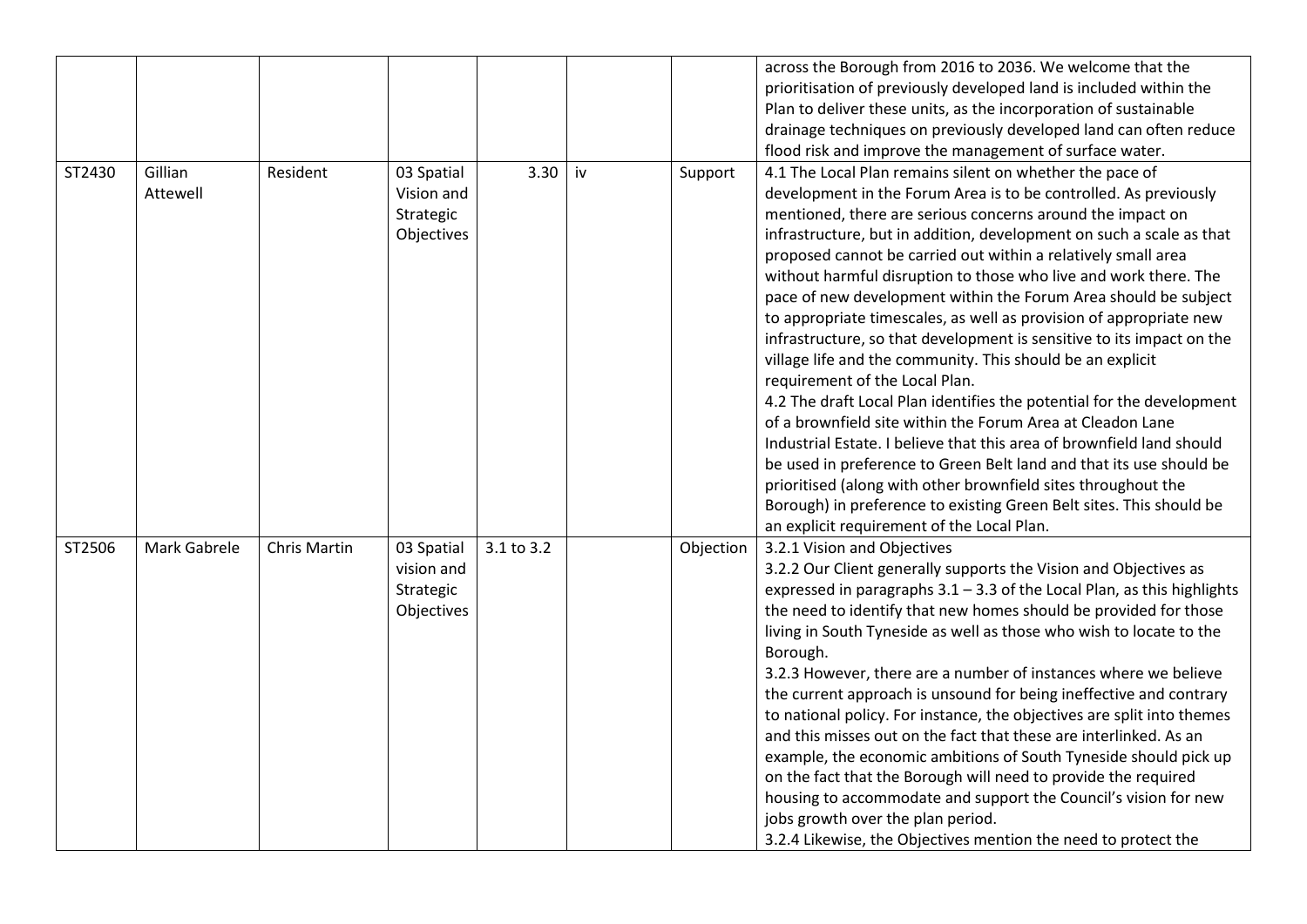|                                                                                                                       | across the Borough from 2016 to 2036. We welcome that the                 |
|-----------------------------------------------------------------------------------------------------------------------|---------------------------------------------------------------------------|
|                                                                                                                       | prioritisation of previously developed land is included within the        |
|                                                                                                                       |                                                                           |
|                                                                                                                       | Plan to deliver these units, as the incorporation of sustainable          |
|                                                                                                                       | drainage techniques on previously developed land can often reduce         |
|                                                                                                                       | flood risk and improve the management of surface water.                   |
| Gillian<br>Resident<br>ST2430<br>03 Spatial<br>3.30<br>iv<br>Support                                                  | 4.1 The Local Plan remains silent on whether the pace of                  |
| Attewell<br>Vision and                                                                                                | development in the Forum Area is to be controlled. As previously          |
| Strategic                                                                                                             | mentioned, there are serious concerns around the impact on                |
| Objectives                                                                                                            | infrastructure, but in addition, development on such a scale as that      |
|                                                                                                                       | proposed cannot be carried out within a relatively small area             |
|                                                                                                                       | without harmful disruption to those who live and work there. The          |
|                                                                                                                       | pace of new development within the Forum Area should be subject           |
|                                                                                                                       | to appropriate timescales, as well as provision of appropriate new        |
|                                                                                                                       | infrastructure, so that development is sensitive to its impact on the     |
|                                                                                                                       | village life and the community. This should be an explicit                |
| requirement of the Local Plan.                                                                                        |                                                                           |
|                                                                                                                       | 4.2 The draft Local Plan identifies the potential for the development     |
|                                                                                                                       | of a brownfield site within the Forum Area at Cleadon Lane                |
|                                                                                                                       | Industrial Estate. I believe that this area of brownfield land should     |
|                                                                                                                       | be used in preference to Green Belt land and that its use should be       |
|                                                                                                                       |                                                                           |
|                                                                                                                       | prioritised (along with other brownfield sites throughout the             |
|                                                                                                                       | Borough) in preference to existing Green Belt sites. This should be       |
|                                                                                                                       | an explicit requirement of the Local Plan.                                |
| ST2506<br>Mark Gabrele<br><b>Chris Martin</b><br>03 Spatial<br>3.1 to 3.2<br>3.2.1 Vision and Objectives<br>Objection |                                                                           |
| vision and                                                                                                            | 3.2.2 Our Client generally supports the Vision and Objectives as          |
| Strategic                                                                                                             | expressed in paragraphs $3.1 - 3.3$ of the Local Plan, as this highlights |
| Objectives                                                                                                            | the need to identify that new homes should be provided for those          |
|                                                                                                                       | living in South Tyneside as well as those who wish to locate to the       |
| Borough.                                                                                                              |                                                                           |
|                                                                                                                       | 3.2.3 However, there are a number of instances where we believe           |
|                                                                                                                       | the current approach is unsound for being ineffective and contrary        |
|                                                                                                                       | to national policy. For instance, the objectives are split into themes    |
|                                                                                                                       | and this misses out on the fact that these are interlinked. As an         |
|                                                                                                                       |                                                                           |
|                                                                                                                       |                                                                           |
|                                                                                                                       | example, the economic ambitions of South Tyneside should pick up          |
|                                                                                                                       | on the fact that the Borough will need to provide the required            |
| jobs growth over the plan period.                                                                                     | housing to accommodate and support the Council's vision for new           |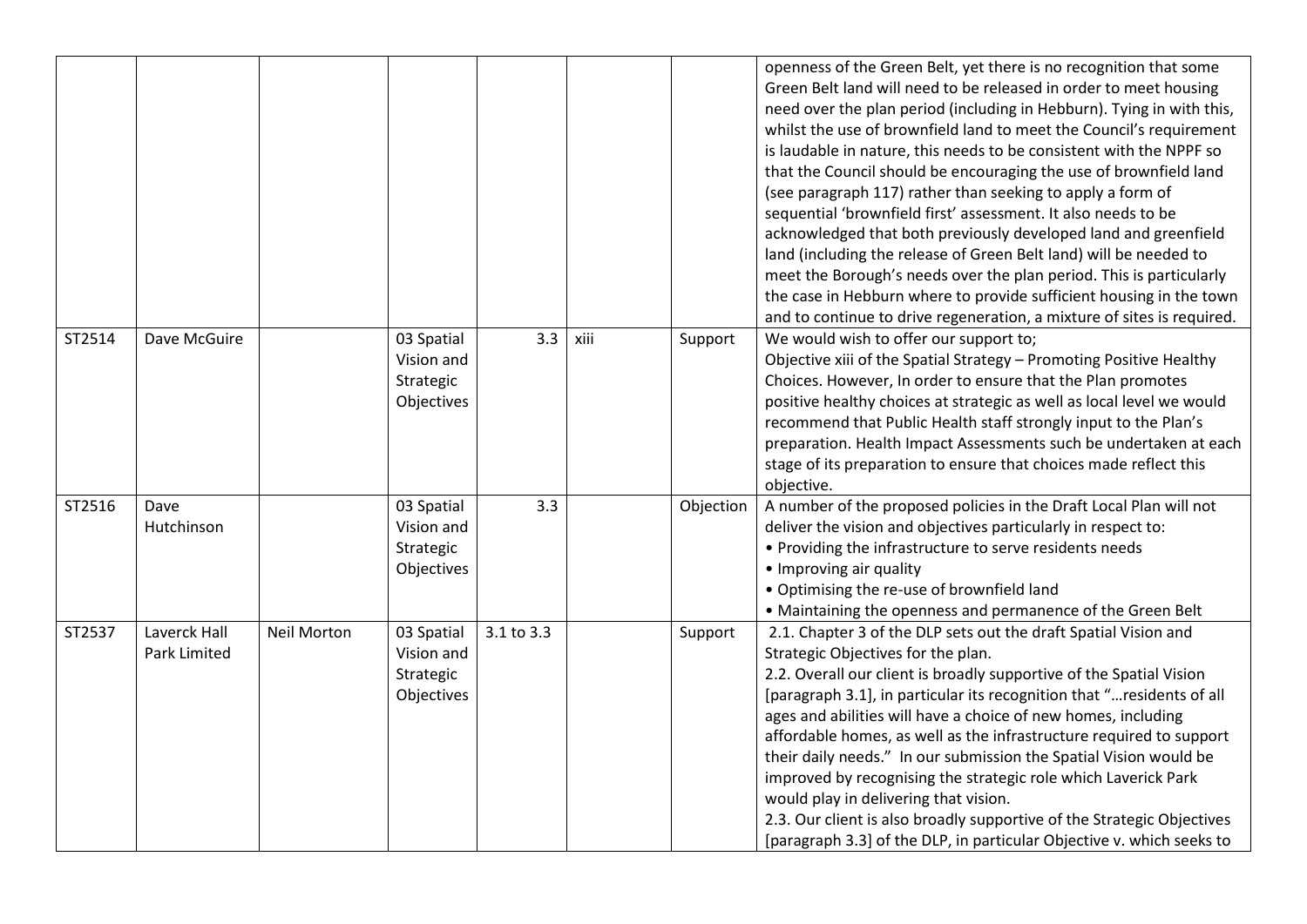|        |                                     |                    |                                                     |            |      |           | openness of the Green Belt, yet there is no recognition that some<br>Green Belt land will need to be released in order to meet housing<br>need over the plan period (including in Hebburn). Tying in with this,<br>whilst the use of brownfield land to meet the Council's requirement<br>is laudable in nature, this needs to be consistent with the NPPF so<br>that the Council should be encouraging the use of brownfield land<br>(see paragraph 117) rather than seeking to apply a form of<br>sequential 'brownfield first' assessment. It also needs to be<br>acknowledged that both previously developed land and greenfield<br>land (including the release of Green Belt land) will be needed to<br>meet the Borough's needs over the plan period. This is particularly<br>the case in Hebburn where to provide sufficient housing in the town<br>and to continue to drive regeneration, a mixture of sites is required. |
|--------|-------------------------------------|--------------------|-----------------------------------------------------|------------|------|-----------|-----------------------------------------------------------------------------------------------------------------------------------------------------------------------------------------------------------------------------------------------------------------------------------------------------------------------------------------------------------------------------------------------------------------------------------------------------------------------------------------------------------------------------------------------------------------------------------------------------------------------------------------------------------------------------------------------------------------------------------------------------------------------------------------------------------------------------------------------------------------------------------------------------------------------------------|
| ST2514 | Dave McGuire                        |                    | 03 Spatial<br>Vision and<br>Strategic<br>Objectives | 3.3        | xiii | Support   | We would wish to offer our support to;<br>Objective xiii of the Spatial Strategy - Promoting Positive Healthy<br>Choices. However, In order to ensure that the Plan promotes<br>positive healthy choices at strategic as well as local level we would<br>recommend that Public Health staff strongly input to the Plan's<br>preparation. Health Impact Assessments such be undertaken at each<br>stage of its preparation to ensure that choices made reflect this<br>objective.                                                                                                                                                                                                                                                                                                                                                                                                                                                  |
| ST2516 | Dave<br>Hutchinson                  |                    | 03 Spatial<br>Vision and<br>Strategic<br>Objectives | 3.3        |      | Objection | A number of the proposed policies in the Draft Local Plan will not<br>deliver the vision and objectives particularly in respect to:<br>• Providing the infrastructure to serve residents needs<br>• Improving air quality<br>• Optimising the re-use of brownfield land<br>• Maintaining the openness and permanence of the Green Belt                                                                                                                                                                                                                                                                                                                                                                                                                                                                                                                                                                                            |
| ST2537 | Laverck Hall<br><b>Park Limited</b> | <b>Neil Morton</b> | 03 Spatial<br>Vision and<br>Strategic<br>Objectives | 3.1 to 3.3 |      | Support   | 2.1. Chapter 3 of the DLP sets out the draft Spatial Vision and<br>Strategic Objectives for the plan.<br>2.2. Overall our client is broadly supportive of the Spatial Vision<br>[paragraph 3.1], in particular its recognition that " residents of all<br>ages and abilities will have a choice of new homes, including<br>affordable homes, as well as the infrastructure required to support<br>their daily needs." In our submission the Spatial Vision would be<br>improved by recognising the strategic role which Laverick Park<br>would play in delivering that vision.<br>2.3. Our client is also broadly supportive of the Strategic Objectives<br>[paragraph 3.3] of the DLP, in particular Objective v. which seeks to                                                                                                                                                                                                 |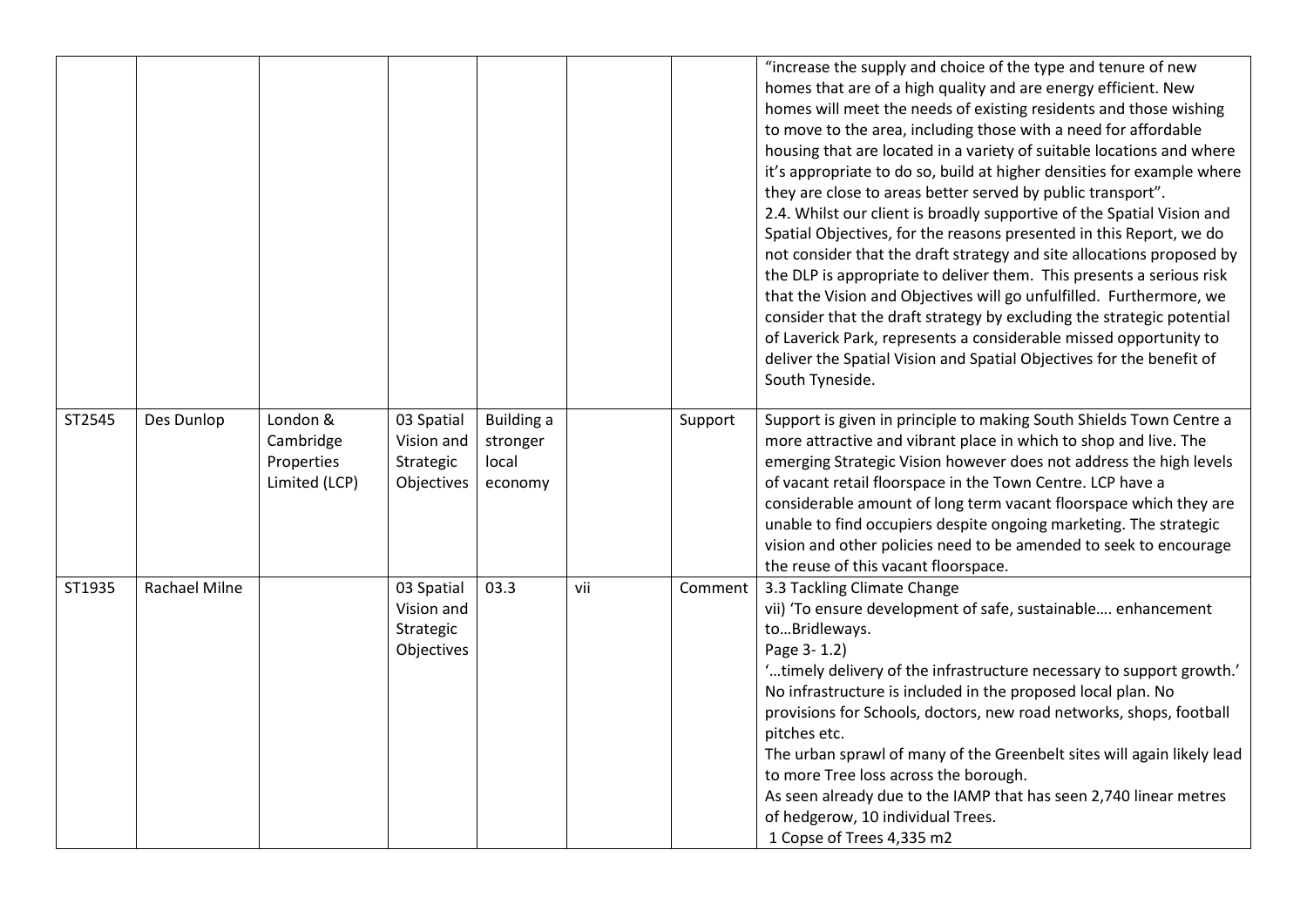|        |               |                                                      |                                                     |                                                   |     |         | "increase the supply and choice of the type and tenure of new<br>homes that are of a high quality and are energy efficient. New<br>homes will meet the needs of existing residents and those wishing<br>to move to the area, including those with a need for affordable<br>housing that are located in a variety of suitable locations and where<br>it's appropriate to do so, build at higher densities for example where<br>they are close to areas better served by public transport".<br>2.4. Whilst our client is broadly supportive of the Spatial Vision and<br>Spatial Objectives, for the reasons presented in this Report, we do<br>not consider that the draft strategy and site allocations proposed by<br>the DLP is appropriate to deliver them. This presents a serious risk<br>that the Vision and Objectives will go unfulfilled. Furthermore, we<br>consider that the draft strategy by excluding the strategic potential<br>of Laverick Park, represents a considerable missed opportunity to<br>deliver the Spatial Vision and Spatial Objectives for the benefit of<br>South Tyneside. |
|--------|---------------|------------------------------------------------------|-----------------------------------------------------|---------------------------------------------------|-----|---------|-------------------------------------------------------------------------------------------------------------------------------------------------------------------------------------------------------------------------------------------------------------------------------------------------------------------------------------------------------------------------------------------------------------------------------------------------------------------------------------------------------------------------------------------------------------------------------------------------------------------------------------------------------------------------------------------------------------------------------------------------------------------------------------------------------------------------------------------------------------------------------------------------------------------------------------------------------------------------------------------------------------------------------------------------------------------------------------------------------------|
| ST2545 | Des Dunlop    | London &<br>Cambridge<br>Properties<br>Limited (LCP) | 03 Spatial<br>Vision and<br>Strategic<br>Objectives | <b>Building a</b><br>stronger<br>local<br>economy |     | Support | Support is given in principle to making South Shields Town Centre a<br>more attractive and vibrant place in which to shop and live. The<br>emerging Strategic Vision however does not address the high levels<br>of vacant retail floorspace in the Town Centre. LCP have a<br>considerable amount of long term vacant floorspace which they are<br>unable to find occupiers despite ongoing marketing. The strategic<br>vision and other policies need to be amended to seek to encourage<br>the reuse of this vacant floorspace.                                                                                                                                                                                                                                                                                                                                                                                                                                                                                                                                                                          |
| ST1935 | Rachael Milne |                                                      | 03 Spatial<br>Vision and<br>Strategic<br>Objectives | 03.3                                              | vii | Comment | 3.3 Tackling Climate Change<br>vii) 'To ensure development of safe, sustainable enhancement<br>toBridleways.<br>Page 3-1.2)<br>'timely delivery of the infrastructure necessary to support growth.'<br>No infrastructure is included in the proposed local plan. No<br>provisions for Schools, doctors, new road networks, shops, football<br>pitches etc.<br>The urban sprawl of many of the Greenbelt sites will again likely lead<br>to more Tree loss across the borough.<br>As seen already due to the IAMP that has seen 2,740 linear metres<br>of hedgerow, 10 individual Trees.<br>1 Copse of Trees 4,335 m2                                                                                                                                                                                                                                                                                                                                                                                                                                                                                        |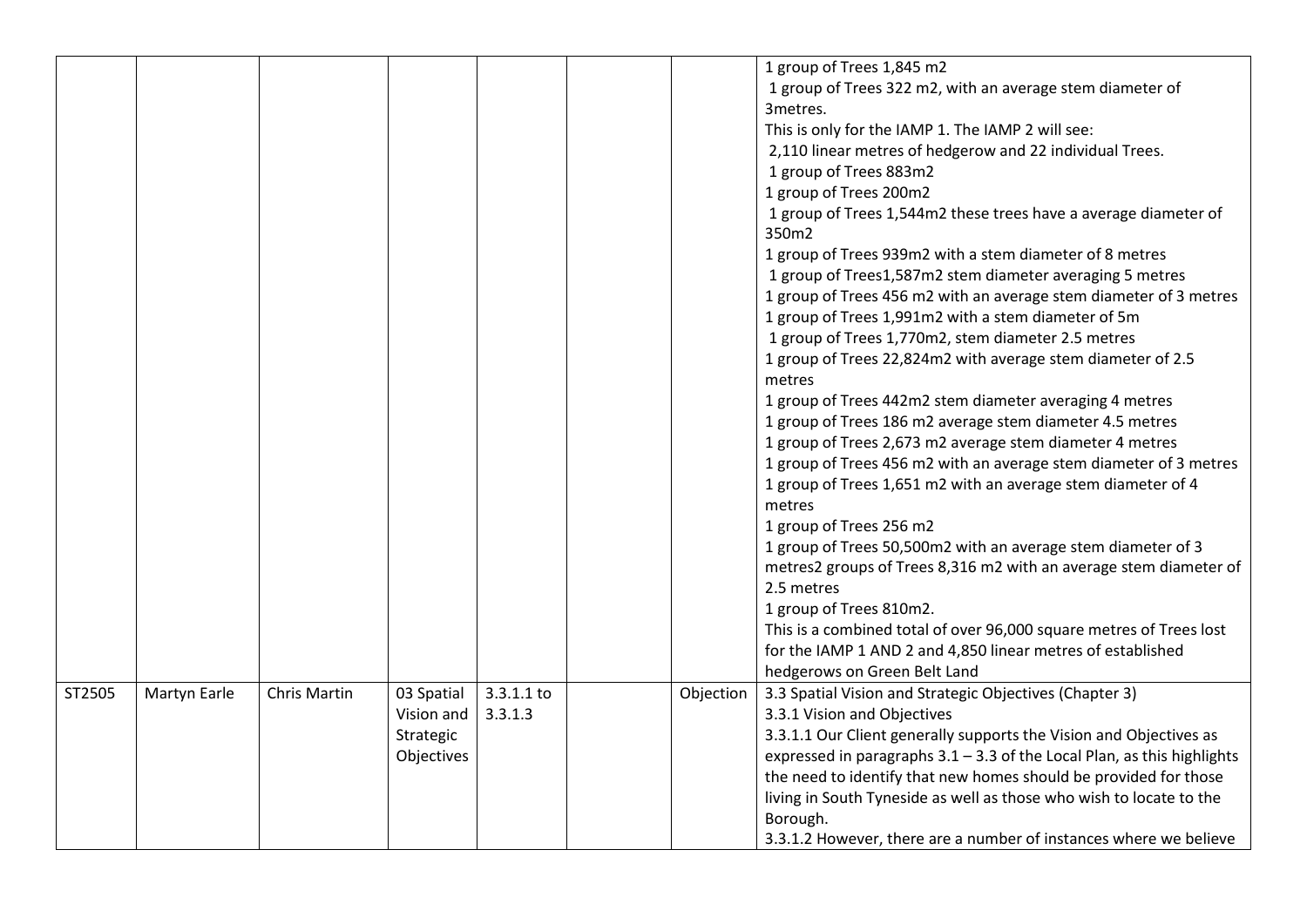|        |              |                     |                                                     |                       |           | 1 group of Trees 1,845 m2<br>1 group of Trees 322 m2, with an average stem diameter of<br>3metres.<br>This is only for the IAMP 1. The IAMP 2 will see:<br>2,110 linear metres of hedgerow and 22 individual Trees.<br>1 group of Trees 883m2                                                                                                                                                                                                                         |
|--------|--------------|---------------------|-----------------------------------------------------|-----------------------|-----------|-----------------------------------------------------------------------------------------------------------------------------------------------------------------------------------------------------------------------------------------------------------------------------------------------------------------------------------------------------------------------------------------------------------------------------------------------------------------------|
|        |              |                     |                                                     |                       |           | 1 group of Trees 200m2<br>1 group of Trees 1,544m2 these trees have a average diameter of<br>350m2                                                                                                                                                                                                                                                                                                                                                                    |
|        |              |                     |                                                     |                       |           | 1 group of Trees 939m2 with a stem diameter of 8 metres<br>1 group of Trees1,587m2 stem diameter averaging 5 metres<br>1 group of Trees 456 m2 with an average stem diameter of 3 metres<br>1 group of Trees 1,991m2 with a stem diameter of 5m<br>1 group of Trees 1,770m2, stem diameter 2.5 metres<br>1 group of Trees 22,824m2 with average stem diameter of 2.5<br>metres                                                                                        |
|        |              |                     |                                                     |                       |           | 1 group of Trees 442m2 stem diameter averaging 4 metres<br>1 group of Trees 186 m2 average stem diameter 4.5 metres<br>1 group of Trees 2,673 m2 average stem diameter 4 metres<br>1 group of Trees 456 m2 with an average stem diameter of 3 metres<br>1 group of Trees 1,651 m2 with an average stem diameter of 4<br>metres                                                                                                                                        |
|        |              |                     |                                                     |                       |           | 1 group of Trees 256 m2<br>1 group of Trees 50,500m2 with an average stem diameter of 3<br>metres2 groups of Trees 8,316 m2 with an average stem diameter of<br>2.5 metres<br>1 group of Trees 810m2.<br>This is a combined total of over 96,000 square metres of Trees lost<br>for the IAMP 1 AND 2 and 4,850 linear metres of established<br>hedgerows on Green Belt Land                                                                                           |
| ST2505 | Martyn Earle | <b>Chris Martin</b> | 03 Spatial<br>Vision and<br>Strategic<br>Objectives | 3.3.1.1 to<br>3.3.1.3 | Objection | 3.3 Spatial Vision and Strategic Objectives (Chapter 3)<br>3.3.1 Vision and Objectives<br>3.3.1.1 Our Client generally supports the Vision and Objectives as<br>expressed in paragraphs $3.1 - 3.3$ of the Local Plan, as this highlights<br>the need to identify that new homes should be provided for those<br>living in South Tyneside as well as those who wish to locate to the<br>Borough.<br>3.3.1.2 However, there are a number of instances where we believe |